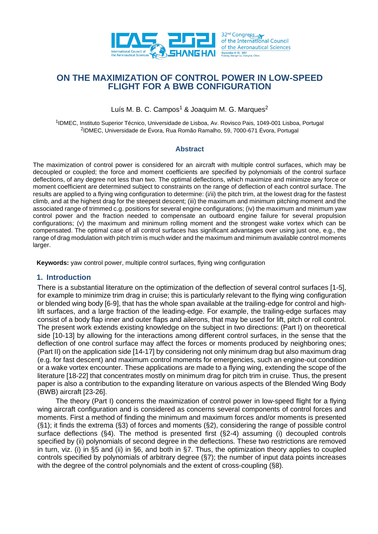

# **ON THE MAXIMIZATION OF CONTROL POWER IN LOW-SPEED FLIGHT FOR A BWB CONFIGURATION**

Luís M. B. C. Campos<sup>1</sup> & Joaquim M. G. Marques<sup>2</sup>

<sup>1</sup>IDMEC, Instituto Superior Técnico, Universidade de Lisboa, Av. Rovisco Pais, 1049-001 Lisboa, Portugal 2 IDMEC, Universidade de Évora, Rua Romão Ramalho, 59, 7000-671 Évora, Portugal

## **Abstract**

The maximization of control power is considered for an aircraft with multiple control surfaces, which may be decoupled or coupled; the force and moment coefficients are specified by polynomials of the control surface deflections, of any degree not less than two. The optimal deflections, which maximize and minimize any force or moment coefficient are determined subject to constraints on the range of deflection of each control surface. The results are applied to a flying wing configuration to determine: (i/ii) the pitch trim, at the lowest drag for the fastest climb, and at the highest drag for the steepest descent; (iii) the maximum and minimum pitching moment and the associated range of trimmed c.g. positions for several engine configurations; (iv) the maximum and minimum yaw control power and the fraction needed to compensate an outboard engine failure for several propulsion configurations; (v) the maximum and minimum rolling moment and the strongest wake vortex which can be compensated. The optimal case of all control surfaces has significant advantages over using just one, e.g., the range of drag modulation with pitch trim is much wider and the maximum and minimum available control moments larger.

**Keywords:** yaw control power, multiple control surfaces, flying wing configuration

## **1. Introduction**

There is a substantial literature on the optimization of the deflection of several control surfaces [1-5], for example to minimize trim drag in cruise; this is particularly relevant to the flying wing configuration or blended wing body [6-9], that has the whole span available at the trailing-edge for control and highlift surfaces, and a large fraction of the leading-edge. For example, the trailing-edge surfaces may consist of a body flap inner and outer flaps and ailerons, that may be used for lift, pitch or roll control. The present work extends existing knowledge on the subject in two directions: (Part I) on theoretical side [10-13] by allowing for the interactions among different control surfaces, in the sense that the deflection of one control surface may affect the forces or moments produced by neighboring ones; (Part II) on the application side [14-17] by considering not only minimum drag but also maximum drag (e.g. for fast descent) and maximum control moments for emergencies, such an engine-out condition or a wake vortex encounter. These applications are made to a flying wing, extending the scope of the literature [18-22] that concentrates mostly on minimum drag for pitch trim in cruise. Thus, the present paper is also a contribution to the expanding literature on various aspects of the Blended Wing Body (BWB) aircraft [23-26].

The theory (Part I) concerns the maximization of control power in low-speed flight for a flying wing aircraft configuration and is considered as concerns several components of control forces and moments. First a method of finding the minimum and maximum forces and/or moments is presented (§1); it finds the extrema (§3) of forces and moments (§2), considering the range of possible control surface deflections (§4). The method is presented first (§2-4) assuming (i) decoupled controls specified by (ii) polynomials of second degree in the deflections. These two restrictions are removed in turn, viz. (i) in §5 and (ii) in §6, and both in §7. Thus, the optimization theory applies to coupled controls specified by polynomials of arbitrary degree (§7); the number of input data points increases with the degree of the control polynomials and the extent of cross-coupling (§8).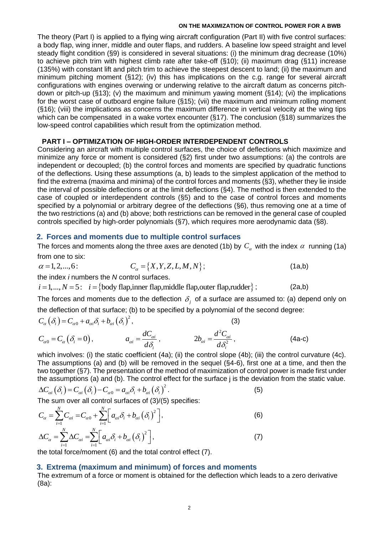The theory (Part I) is applied to a flying wing aircraft configuration (Part II) with five control surfaces: a body flap, wing inner, middle and outer flaps, and rudders. A baseline low speed straight and level steady flight condition (§9) is considered in several situations: (i) the minimum drag decrease (10%) to achieve pitch trim with highest climb rate after take-off (§10); (ii) maximum drag (§11) increase (135%) with constant lift and pitch trim to achieve the steepest descent to land; (ii) the maximum and minimum pitching moment (§12); (iv) this has implications on the c.g. range for several aircraft configurations with engines overwing or underwing relative to the aircraft datum as concerns pitchdown or pitch-up (§13); (v) the maximum and minimum yawing moment (§14); (vi) the implications for the worst case of outboard engine failure (§15); (vii) the maximum and minimum rolling moment (§16); (viii) the implications as concerns the maximum difference in vertical velocity at the wing tips which can be compensated in a wake vortex encounter (§17). The conclusion (§18) summarizes the low-speed control capabilities which result from the optimization method.

## **PART I – OPTIMIZATION OF HIGH-ORDER INTERDEPENDENT CONTROLS**

Considering an aircraft with multiple control surfaces, the choice of deflections which maximize and minimize any force or moment is considered (§2) first under two assumptions: (a) the controls are independent or decoupled; (b) the control forces and moments are specified by quadratic functions of the deflections. Using these assumptions (a, b) leads to the simplest application of the method to find the extrema (maxima and minima) of the control forces and moments (§3), whether they lie inside the interval of possible deflections or at the limit deflections (§4). The method is then extended to the case of coupled or interdependent controls (§5) and to the case of control forces and moments specified by a polynomial or arbitrary degree of the deflections (§6), thus removing one at a time of the two restrictions (a) and (b) above; both restrictions can be removed in the general case of coupled controls specified by high-order polynomials (§7), which requires more aerodynamic data (§8).

## **2. Forces and moments due to multiple control surfaces**

The forces and moments along the three axes are denoted (1b) by  $C_{\alpha}$  with the index  $\alpha$  running (1a)<br>from one to six:<br> $\alpha = 1, 2, ..., 6$ :<br> $C_{\alpha} = \{X, Y, Z, L, M, N\}$ ; (1a,b) from one to six:

 $C_{\alpha} = \{X, Y, Z, L, M, N\};$  (1a,b)  $\alpha = 1, 2, ..., 6:$ <br> *i* e index *i* numbers the *N* control surfaces.<br> *i* = 1, ..., *N* = 5: *i* = {body flap,inner flap,middle flap,outer flap,rudder};

the index *i* numbers the *N* control surfaces.

 $(2a,b)$ 

The forces and moments due to the deflection  $\delta_{j}$  of a surface are assumed to: (a) depend only on  $2 \times 10^{-2}$ 

the deflection of that surface; (b) to be specified by a polynomial of the second degree:  
\n
$$
C_{\alpha}(\delta_i) = C_{\alpha 0} + a_{\alpha i} \delta_i + b_{\alpha i} (\delta_i)^2,
$$
\n(3)  
\n
$$
C_{\alpha 0} = C_{\alpha}(\delta_i = 0),
$$
\n
$$
a_{\alpha i} = \frac{dC_{\alpha i}}{d\delta_i},
$$
\n
$$
2b_{\alpha i} = \frac{d^2 C_{\alpha i}}{d\delta_i^2},
$$
\n(4a-c)

which involves: (i) the static coefficient (4a); (ii) the control slope (4b); (iii) the control curvature (4c). The assumptions (a) and (b) will be removed in the sequel (§4-6), first one at a time, and then the two together (§7). The presentation of the method of maximization of control power is made first under

the assumptions (a) and (b). The control effect for the surface j is the deviation from the static value.  
\n
$$
\Delta C_{ai}(\delta_i) = C_{ai}(\delta_i) - C_{a0} = a_{ai}\delta_i + b_{ai}(\delta_i)^2.
$$
\n(5)

The sum over all control surfaces of (3)/(5) specifies:  
\n
$$
C_{\alpha} = \sum_{i=1}^{N} C_{\alpha i} = C_{\alpha 0} + \sum_{i=1}^{N} \left[ a_{\alpha i} \delta_{i} + b_{\alpha i} (\delta_{i})^{2} \right],
$$
\n
$$
\Delta C_{\alpha} = \sum_{i=1}^{N} \Delta C_{\alpha i} = \sum_{i=1}^{N} \left[ a_{\alpha i} \delta_{i} + b_{\alpha i} (\delta_{i})^{2} \right],
$$
\n(7)

the total force/moment (6) and the total control effect (7).

## **3. Extrema (maximum and minimum) of forces and moments**

The extremum of a force or moment is obtained for the deflection which leads to a zero derivative (8a):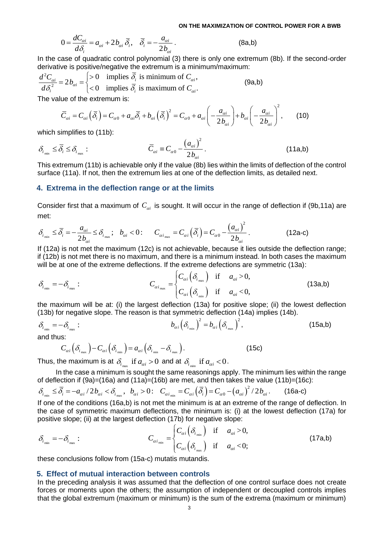On the maximum ZATION OF C

\n
$$
0 = \frac{dC_{ai}}{d\delta_i} = a_{ai} + 2b_{ai}\overline{\delta_i}, \quad \overline{\delta_i} = -\frac{a_{ai}}{2b_{ai}}.
$$
\n(8a,b)

In the case of quadratic control polynomial (3) there is only one extremum (8b). If the second-order derivative is positive/negative the extremum is a minimum/maximum:

In the case of quadratic control polynomial (3) there is only one extremur  
derivative is positive/negative the extremum is a minimum/maximum:  

$$
\frac{d^2C_{\alpha i}}{d\delta_i^2} = 2b_{\alpha i} = \begin{cases} > 0 & \text{implies } \overline{\delta_i} \text{ is minimum of } C_{\alpha i}, \\ < 0 & \text{implies } \overline{\delta_i} \text{ is maximum of } C_{\alpha i}. \end{cases}
$$
(9a,b)  
The value of the extremum is:

$$
-2b_{\alpha i} - 2c_{\alpha i} = 0 \quad \text{(3a, b)}
$$
\nUse of the extremum is:

\n
$$
\overline{C}_{\alpha i} = C_{\alpha i} \left( \overline{\delta}_i \right) = C_{\alpha 0} + a_{\alpha i} \overline{\delta}_i + b_{\alpha i} \left( \overline{\delta}_i \right)^2 = C_{\alpha 0} + a_{\alpha i} \left( -\frac{a_{\alpha i}}{2b_{\alpha i}} \right) + b_{\alpha i} \left( -\frac{a_{\alpha i}}{2b_{\alpha i}} \right)^2, \quad (10)
$$
\nsimplifies to (11b).

which simplifies to (11b):

$$
\delta_{i_{\min}} \leq \overline{\delta}_i \leq \delta_{i_{\max}}: \qquad \qquad \overline{C}_{\alpha i} \equiv C_{\alpha 0} - \frac{\left(a_{\alpha i}\right)^2}{2b_{\alpha i}}.
$$
\n(11a,b)

This extremum (11b) is achievable only if the value (8b) lies within the limits of deflection of the control surface (11a). If not, then the extremum lies at one of the deflection limits, as detailed next.

#### **4. Extrema in the deflection range or at the limits**

Consider first that a maximum of  $C_{ai}$  is sought. It will occur in the range of deflection if (9b,11a) are<br>  $\delta_{i_{min}} \le \bar{\delta}_i = -\frac{a_{ai}}{2b_{ai}} \le \delta_{i_{max}}; b_{ai} < 0:$   $C_{\alpha i_{max}} = C_{ai} (\bar{\delta}_i) = C_{\alpha 0} - \frac{(a_{ai})^2}{2b_{ai}}.$  (12a-c) met:

Consider first that a maximum of 
$$
C_{ai}
$$
 is sought. It will occur in the large of acceleration in the  
\n
$$
\delta_{i_{min}} \leq \overline{\delta}_i = -\frac{a_{ai}}{2b_{ai}} \leq \delta_{i_{max}}; \quad b_{ai} < 0: \quad C_{ai_{max}} = C_{ai} \left( \overline{\delta}_i \right) = C_{a0} - \frac{\left( a_{ai} \right)^2}{2b_{ai}}.
$$
\n(12a-c)

If (12a) is not met the maximum (12c) is not achievable, because it lies outside the deflection range; if (12b) is not met there is no maximum, and there is a minimum instead. In both cases the maximum

will be at one of the extreme deflections. If the extreme deflections are symmetric (13a):  
\n
$$
\delta_{i_{min}} = -\delta_{i_{max}}:
$$
\n
$$
C_{\alpha i_{max}} = \begin{cases} C_{\alpha i} \left( \delta_{i_{max}} \right) & \text{if } a_{\alpha i} > 0, \\ C_{\alpha i} \left( \delta_{i_{min}} \right) & \text{if } a_{\alpha i} < 0, \end{cases}
$$
\n(13a,b)

the maximum will be at: (i) the largest deflection (13a) for positive slope; (ii) the lowest deflection (13b) for negative slope. The reason is that symmetric deflection (14a) implies (14b).

$$
\delta_{i_{\min}} = -\delta_{i_{\max}}:
$$
\n
$$
b_{\alpha i} \left( \delta_{i_{\min}} \right)^2 = b_{\alpha i} \left( \delta_{i_{\max}} \right)^2,\tag{15a,b}
$$

and thus:

$$
\mathbf{s}:\n\qquad\nC_{\alpha i}\left(\delta_{i_{\text{max}}}\right) - C_{\alpha i}\left(\delta_{i_{\text{min}}}\right) = a_{\alpha i}\left(\delta_{i_{\text{min}}}-\delta_{i_{\text{max}}}\right).
$$
\n(15c)

Thus, the maximum is at  $\delta_{i_{\max}}$  if  $a_{\alpha i} > 0$  and at  $\delta_{i_{\min}}$  if  $a_{\alpha i} < 0$ .

In the case a minimum is sought the same reasonings apply. The minimum lies within the range of deflection if  $(9a)=(16a)$  and  $(11a)=(16b)$  are met, and then takes the value  $(11b)=(16c)$ : Thus, the maximum is at  $o_{i_{\text{max}}}$  if  $a_{\alpha i} > 0$  and at  $o_{i_{\text{min}}}$  if  $a_{\alpha i} < 0$ .<br>
In the case a minimum is sought the same reasonings apply. The minimum lies wit<br>
of deflection if (9a)=(16a) and (11a)=(16b) are met,

$$
\delta_{i_{\min}} \leq \overline{\delta_i} = -a_{\alpha i} / 2b_{\alpha i} < \delta_{i_{\max}}, \quad b_{\alpha i} > 0: \quad C_{\alpha i_{\min}} = C_{\alpha i} (\overline{\delta_i}) = C_{\alpha 0} - (a_{\alpha i})^2 / 2b_{\alpha i}. \tag{16a-c}
$$

 $\epsilon$ 

If one of the conditions (16a,b) is not met the minimum is at an extreme of the range of deflection. In the case of symmetric maximum deflections, the minimum is: (i) at the lowest deflection (17a) for

positive slope; (ii) at the largest deflection (17b) for negative slope:  
\n
$$
\delta_{i_{min}} = -\delta_{i_{max}}:
$$
\n
$$
C_{\alpha i_{min}} = \begin{cases} C_{\alpha i} (\delta_{i_{min}}) & \text{if } a_{\alpha i} > 0, \\ C_{\alpha i} (\delta_{i_{max}}) & \text{if } a_{\alpha i} < 0; \end{cases}
$$
\n(17a,b)

these conclusions follow from (15a-c) mutatis mutandis.

#### **5. Effect of mutual interaction between controls**

In the preceding analysis it was assumed that the deflection of one control surface does not create forces or moments upon the others; the assumption of independent or decoupled controls implies that the global extremum (maximum or minimum) is the sum of the extrema (maximum or minimum)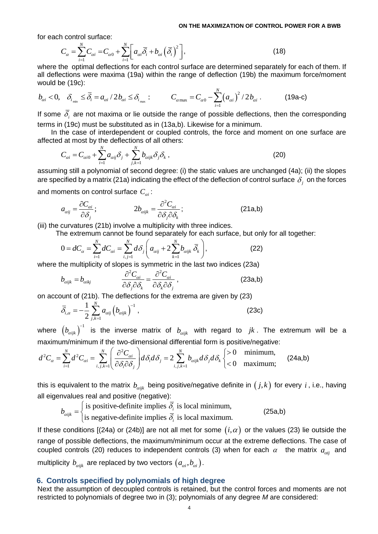for each control surface:<br>
<sup>N</sup> N N N N N

$$
\text{control surface:} \nC_{\alpha} = \sum_{i=1}^{N} C_{\alpha i} = C_{\alpha 0} + \sum_{i=1}^{N} \left[ a_{\alpha i} \overline{\delta}_{i} + b_{\alpha i} \left( \overline{\delta}_{i} \right)^{2} \right], \n\tag{18}
$$

where the optimal deflections for each control surface are determined separately for each of them. If all deflections were maxima (19a) within the range of deflection (19b) the maximum force/moment would be (19c):

$$
b_{ai} < 0, \quad \delta_{i_{min}} \le \overline{\delta}_i = a_{ai} / 2b_{ai} \le \delta_{i_{max}}: \qquad C_{a_{max}} = C_{a0} - \sum_{i=1}^{N} (a_{ai})^2 / 2b_{ai}. \tag{19a-c}
$$

If some  $\delta_i$  are not maxima or lie outside the range of possible deflections, then the corresponding terms in (19c) must be substituted as in (13a,b). Likewise for a minimum.

In the case of interdependent or coupled controls, the force and moment on one surface are

affected at most by the deflections of all others:  
\n
$$
C_{\alpha i} = C_{\alpha i0} + \sum_{i=1}^{N} a_{\alpha ij} \delta_j + \sum_{j,k=1}^{N} b_{\alpha i j k} \delta_j \delta_k ,
$$
\n(20)

assuming still a polynomial of second degree: (i) the static values are unchanged (4a); (ii) the slopes are specified by a matrix (21a) indicating the effect of the deflection of control surface  $\,\delta_{_j}$  on the forces

and moments on control surface 
$$
C_{ai}
$$
:  
\n
$$
a_{aij} = \frac{\partial C_{ai}}{\partial \delta_j}; \qquad 2b_{aijk} = \frac{\partial^2 C_{ai}}{\partial \delta_j \partial \delta_k}; \qquad (21a,b)
$$

(iii) the curvatures (21b) involve a multiplicity with three indices.

e curvatures (21b) involve a multiplicity with three indices.  
The extremum cannot be found separately for each surface, but only for all together:  

$$
0 = dC_{\alpha} = \sum_{i=1}^{N} dC_{\alpha i} = \sum_{i,j=1}^{N} d\delta_{j} \left( a_{\alpha ij} + 2 \sum_{k=1}^{N} b_{\alpha i j k} \overline{\delta}_{k} \right),
$$
(22)

 $\alpha^2 \alpha$   $\alpha^2 \alpha$ 

where the multiplicity of slopes is symmetric in the last two indices (23a)  
\n
$$
b_{aijk} = b_{aikj} \qquad \frac{\partial^2 C_{ai}}{\partial \delta_j \partial \delta_k} = \frac{\partial^2 C_{ai}}{\partial \delta_k \partial \delta_j},
$$
\n(23a,b)

on account of (21b). The deflections for the extrema are given by (23)

$$
\overline{\delta}_{i,\alpha} = -\frac{1}{2} \sum_{j,k=1}^{N} a_{\alpha ij} \left( b_{\alpha i j k} \right)^{-1}, \tag{23c}
$$

where  $(b_{aijk})^{-1}$  is the inverse matrix of  $b_{aijk}$  with regard to  $jk$ . The extremum will be a maximum/minimum if the two-dimensional differential form is positive/negative:<br>  $d^2C_{\alpha} = \sum_{i=1}^{N} d^2C_{\alpha i} = \sum_{i,j,k=1}^{N} \left( \frac{\$ inverse matrix of  $b_{aijk}$  with regard<br>le two-dimensional differential form is p<br> $\left(\frac{\partial^2 C_{ai}}{\partial s^2}\right)d\delta_i d\delta_j = 2\sum_{i=1}^N b_{aiik}d\delta_i d\delta_k$ 

where 
$$
(b_{aijk})^{-1}
$$
 is the inverse matrix of  $b_{aijk}$  with regard to  $jk$ . The extremum maximum/minimum if the two-dimensional differential form is positive/negative:  
\n
$$
d^2C_{\alpha} = \sum_{i=1}^{N} d^2C_{\alpha i} = \sum_{i,j,k=1}^{N} \left( \frac{\partial^2 C_{\alpha i}}{\partial \delta_i \partial \delta_j} \right) d\delta_i d\delta_j = 2 \sum_{i,j,k=1}^{N} b_{aijk} d\delta_j d\delta_k \begin{cases} > 0 & \text{minimum,} \\ < 0 & \text{maximum,} \end{cases}
$$
 (24a,b)

this is equivalent to the matrix  $b_{\scriptscriptstyle{aijk}}$  being positive/negative definite in  $\big(j,k\big)$  for every  $i$  , i.e., having all eigenvalues real and positive (negative):

$$
b_{\text{aijk}} = \begin{cases} \text{is positive-definite implies } \overline{\delta_i} \text{ is local minimum,} \\ \text{is negative-definite implies } \overline{\delta_i} \text{ is local maximum.} \end{cases} \tag{25a,b}
$$

If these conditions [(24a) or (24b)] are not all met for some  $(i, \alpha)$  or the values (23) lie outside the range of possible deflections, the maximum/minimum occur at the extreme deflections. The case of coupled controls (20) reduces to independent controls (3) when for each  $\alpha$  the matrix  $a_{\alpha ij}$  and multiplicity  $b_{\scriptscriptstyle{\alpha i j k}}$  are replaced by two vectors  $(a_{\scriptscriptstyle{\alpha i}},b_{\scriptscriptstyle{\alpha i}})$ .

### **6. Controls specified by polynomials of high degree**

Next the assumption of decoupled controls is retained, but the control forces and moments are not restricted to polynomials of degree two in (3); polynomials of any degree *M* are considered: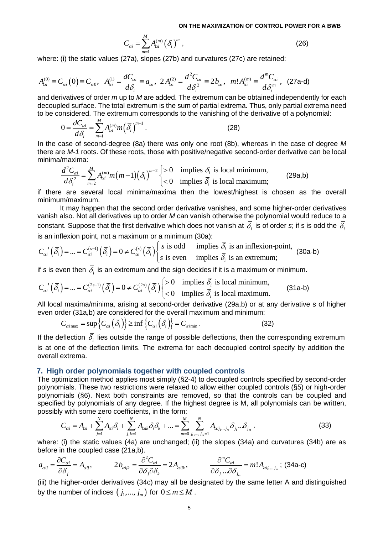$$
C_{\alpha i} = \sum_{m=1}^{M} A_{\alpha i}^{(m)} (\delta_i)^m ,
$$
 (26)

where: (i) the static values (27a), slopes (27b) and curvatures (27c) are retained:

where: (i) the static values (27a), slopes (27b) and curvatures (27c) are retained:  
\n
$$
A_{\alpha i}^{(0)} \equiv C_{\alpha i} (0) \equiv C_{\alpha 0}, \quad A_{\alpha i}^{(1)} = \frac{dC_{\alpha i}}{d\delta_i} \equiv a_{\alpha i}, \quad 2 A_{\alpha i}^{(2)} = \frac{d^2 C_{\alpha i}}{d\delta_i^2} \equiv 2 b_{\alpha i}, \quad m! A_{\alpha i}^{(m)} \equiv \frac{d^m C_{\alpha i}}{d\delta_i^m}, \quad (27a-d)
$$
\nand derivatives of order *m* up to *M* are added. The extremum can be obtained independently for each

decoupled surface. The total extremum is the sum of partial extrema. Thus, only partial extrema need to be considered. The extremum corresponds to the vanishing of the derivative of a polynomial:

$$
0 = \frac{dC_{\alpha i}}{d\delta_i} = \sum_{m=1}^{M} A_{\alpha i}^{(m)} m \left(\overline{\delta}_i\right)^{m-1}.
$$
 (28)

In the case of second-degree (8a) there was only one root (8b), whereas in the case of degree *M* there are *M-1* roots. Of these roots, those with positive/negative second-order derivative can be local minima/maxima:<br>  $\frac{d^2 C_{\alpha i}}{d \bar{\delta}_i^2} = \sum_{m=2}^M A_{\alpha i}^{(m)} m(m-1) (\bar{\delta}_i)^{m-2} \begin{cases} > 0 & \text{implies } \bar{\delta}_i \text{ is local minimum,} \\ < 0 & \text{implies$ minima/maxima:

a/maxima:  
\n
$$
\frac{d^2 C_{\alpha i}}{d\bar{\delta}_i^2} = \sum_{m=2}^M A_{\alpha i}^{(m)} m(m-1) (\bar{\delta}_i)^{m-2} \begin{cases} > 0 & \text{implies } \bar{\delta}_i \text{ is local minimum,} \\ < 0 & \text{implies } \bar{\delta}_i \text{ is local maximum;} \end{cases}
$$
\n(29a,b)

if there are several local minima/maxima then the lowest/highest is chosen as the overall minimum/maximum.

It may happen that the second order derivative vanishes, and some higher-order derivatives vanish also. Not all derivatives up to order *M* can vanish otherwise the polynomial would reduce to a constant. Suppose that the first derivative which does not vanish at  $\delta_i$  is of order *s*; if s is odd the  $\delta_i$ *i M* can vanish otherwise the polynomial is which does not vanish at  $\overline{\delta}_i$  is of order *s* minimum (30a):<br>is odd implies  $\overline{\delta}_i$  is an inflexion-point, constant. Suppose that the first derivative which constant. Suppose that the first derivative which c<br>is an inflexion point, not a maximum or a minimur<br> $C_{\alpha i} \cdot (\overline{\delta_i}) = ... = C_{\alpha i}^{(s-1)} (\overline{\delta_i}) = 0 \neq C_{\alpha i}^{(s)} (\overline{\delta_i}) \begin{cases} s \text$ 

constant. Suppose that the first derivative which does not vanish at 
$$
\delta_i
$$
 is of order s; it is is  
is an inflexion point, not a maximum or a minimum (30a):  

$$
C_{ai}(\overline{\delta_i}) = ... = C_{ai}^{(s-1)}(\overline{\delta_i}) = 0 \neq C_{ai}^{(s)}(\overline{\delta_i}) \begin{cases} s \text{ is odd} & \text{implies } \overline{\delta_i} \text{ is an inflexion-point,} \\ s \text{ is even} & \text{implies } \overline{\delta_i} \text{ is an extremum;} \end{cases}
$$
(30a-b)

if  $s$  is even then  $\delta_{_i}$  is an extremum and the sign decides if it is a maximum or minimum.

( ) ( ) ( ) ( ) ( ) 2 1 2 0 implies is local minimum, ... 0 0 implies is local maximum. *s s <sup>i</sup> i i i i i i i C C C* = = = <sup>−</sup> (31a-b)

All local maxima/minima, arising at second-order derivative (29a,b) or at any derivative s of higher

even order (31a,b) are considered for the overall maximum and minimum:  
\n
$$
C_{\alpha i \max} = \sup \{ C_{\alpha i} \left( \overline{\delta}_i \right) \} \ge \inf \{ C_{\alpha i} \left( \overline{\delta}_i \right) \} = C_{\alpha i \min}.
$$
\n(32)

If the deflection  $\delta_i$  lies outside the range of possible deflections, then the corresponding extremum is at one of the deflection limits. The extrema for each decoupled control specify by addition the overall extrema.

## **7. High order polynomials together with coupled controls**

The optimization method applies most simply (§2-4) to decoupled controls specified by second-order polynomials. These two restrictions were relaxed to allow either coupled controls (§5) or high-order polynomials (§6). Next both constraints are removed, so that the controls can be coupled and specified by polynomials of any degree. If the highest degree is M, all polynomials can be written, possibly with some zero coef possibly with some zero coefficients, in the form:

specified by polynomials of any degree. If the highest degree is M, all polynomials can be written,  
possibly with some zero coefficients, in the form:  

$$
C_{\alpha i} = A_{\alpha i} + \sum_{j=1}^{N} A_{\alpha i} \delta_i + \sum_{j,k=1}^{N} A_{\alpha i k} \delta_i \delta_k + ... = \sum_{m=0}^{M} \sum_{j_1, \dots, j_m=1}^{N} A_{\alpha i j_1 \dots j_m} \delta_{j_1 \dots \hat{N}_{j_m}}.
$$
(33)

where: (i) the static values (4a) are unchanged; (ii) the slopes (34a) and curvatures (34b) are as before in the coupled case (21a,b).  
\n
$$
a_{\alpha ij} = \frac{\partial C_{\alpha i}}{\partial \delta_j} = A_{\alpha ij}, \qquad 2b_{\alpha i j k} = \frac{\partial^2 C_{\alpha i}}{\partial \delta_j \partial \delta_k} = 2A_{\alpha i j k}, \qquad \frac{\partial^m C_{\alpha i}}{\partial \delta_{j_1} ... \partial \delta_{j_m}} = m! A_{\alpha i j_1 ... j_m}; \text{ (34a-c)}
$$

(iii) the higher-order derivatives (34c) may all be designated by the same letter A and distinguished by the number of indices  $\left(\, j_1,...,\,j_m\right)$  for  $\,0\,{\leq}\,m\,{\leq}\,M$  .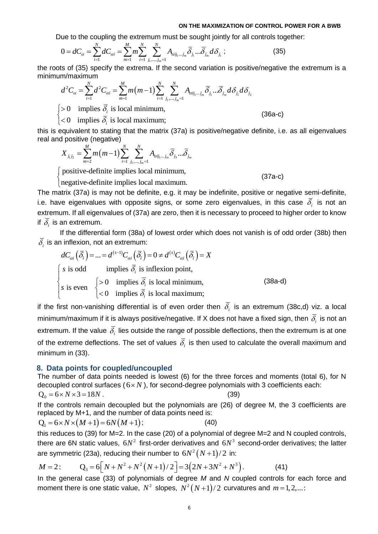**IDENTIFY and SET UP: IDENTIFY and SET UP:** 
$$
0 = d_0 = d_0 = \sum_{i=1}^{N} d_0 = \sum_{m=1}^{N} m \sum_{i=1}^{N} \sum_{j_1, \ldots, j_m=1}^{N} A_{\alpha i j_1 \ldots j_m} \overline{\delta}_{j_1} \ldots \overline{\delta}_{j_m} d_0 \delta_{j_1}
$$
; (35)

 $\frac{N}{N}$  *N*  $\frac{N}{N}$  ( )  $\sum_{k=1}^{N} \frac{N}{k}$ 

the roots of (35) specify the extrema. If the second variation is positive/negative the extremum is a minimum/maximum  
\n
$$
d^{2}C_{\alpha} = \sum_{i=1}^{N} d^{2}C_{\alpha i} = \sum_{m=1}^{M} m(m-1) \sum_{i=1}^{N} \sum_{j_{1},...,j_{m}=1}^{N} A_{\alpha i j_{1}...j_{m}} \overline{\delta}_{j_{1}} ... \overline{\delta}_{j_{m}} d \delta_{j_{1}} d \delta_{j_{2}}
$$
\n
$$
\begin{cases}\n>0 & \text{implies } \overline{\delta}_{i} \text{ is local minimum,} \\
<0 & \text{implies } \overline{\delta}_{i} \text{ is local maximum;}\n\end{cases}
$$
\n(36a-c)

*i*  $\delta$  $\bigg\}$ 

this is equivalent to stating that the matrix (37a) is positive/negative definite, i.e. as all eigenvalues<br>
real and positive (negative)<br>  $X_{j_1j_2} = \sum_{m=2}^{M} m(m-1) \sum_{i=1}^{N} \sum_{j_1,\dots,j_m=1}^{N} A_{\alpha i j_1 \dots j_m} \overline{\delta}_{j_3} \dots \overline{\delta}_{$ real and positive (negative)<br>
<u>M</u><br>
(

d positive (negative)  
\n
$$
X_{j_1j_2} = \sum_{m=2}^{M} m(m-1) \sum_{i=1}^{N} \sum_{j_1,\dots,j_m=1}^{N} A_{\alpha i j_1 \dots j_m} \overline{\delta}_{j_3} \dots \overline{\delta}_{j_m}
$$

positive-definite implies local minimum, negative-definite implies local maximum.

(37a-c)

 $\overline{\mathcal{L}}$ The matrix (37a) is may not be definite, e.g. it may be indefinite, positive or negative semi-definite, i.e. have eigenvalues with opposite signs, or some zero eigenvalues, in this case  $\delta_i$  is not an extremum. If all eigenvalues of (37a) are zero, then it is necessary to proceed to higher order to know if  $\delta_i$  is an extremum.

If the differential form (38a) of lowest order which does not vanish is of odd order (38b) then

$$
\overline{\delta_i} \text{ is an inflexion, not an extremum:}
$$
\n
$$
dC_{\alpha i}(\overline{\delta_i}) = \dots = d^{(s-1)}C_{\alpha i}(\overline{\delta_i}) = 0 \neq d^{(s)}C_{\alpha i}(\overline{\delta_i}) = X
$$
\n
$$
\begin{cases}\ns \text{ is odd} & \text{implies } \overline{\delta_i} \text{ is inflexion point,} \\
s \text{ is even} & \begin{cases}\n>0 & \text{implies } \overline{\delta_i} \text{ is local minimum,} \\
< 0 & \text{implies } \overline{\delta_i} \text{ is local maximum;}\n\end{cases}\n\end{cases}\n\tag{38a-d}
$$

if the first non-vanishing differential is of even order then  $\delta_i$  is an extremum (38c,d) viz. a local minimum/maximum if it is always positive/negative. If X does not have a fixed sign, then  $\,\delta_{_{i}}\,$  is not an extremum. If the value  $\delta_i$  lies outside the range of possible deflections, then the extremum is at one of the extreme deflections. The set of values  $\delta_i$  is then used to calculate the overall maximum and minimum in (33).

#### **8. Data points for coupled/uncoupled**

The number of data points needed is lowest (6) for the three forces and moments (total 6), for N decoupled control surfaces  $(6 \times N)$ , for second-degree polynomials with 3 coefficients each:

$$
Q_0 = 6 \times N \times 3 = 18N. \tag{39}
$$

If the controls remain decoupled but the polynomials are (26) of degree M, the 3 coefficients are

replaced by M+1, and the number of data points need is:  
\n
$$
Q_1 = 6 \times N \times (M+1) = 6N(M+1);
$$
 (40)

this reduces to (39) for M=2. In the case (20) of a polynomial of degree M=2 and N coupled controls, there are 6N static values,  $6N^2$  first-order derivatives and  $6N^3$  second-order derivatives; the latter

are symmetric (23a), reducing their number to 
$$
6N^2 (N+1)/2
$$
 in:  
\n
$$
M = 2: \qquad Q_3 = 6[N + N^2 + N^2 (N+1)/2] = 3(2N + 3N^2 + N^3).
$$
\n(41)

In the general case (33) of polynomials of degree *M* and *N* coupled controls for each force and moment there is one static value,  $N^2$  slopes,  $N^2(N+1)/2$  curvatures and  $m$ =1,2,...: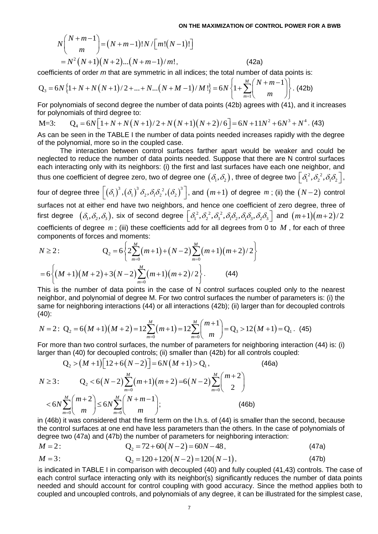ON THE MAXIMIZATION OF CO  
\n
$$
N\binom{N+m-1}{m} = (N+m-1)!N/\big[m!(N-1)!\big]
$$
\n
$$
= N^2 (N+1)(N+2)...(N+m-1)/m!, \qquad (42a)
$$

coefficients of order *m* that are symmetric in all indices; the total number of data points is:

$$
= N^2 (N+1)(N+2)...(N+m-1)/m!,
$$
\n(42a)  
\ncoefficients of order *m* that are symmetric in all indices; the total number of data points is:  
\n
$$
Q_3 = 6N \{1 + N + N(N+1)/2 + ... + N...(N+M-1)/M!\} = 6N \{1 + \sum_{m=1}^{M} {N+m-1 \choose m}\}.
$$
\n(42b)  
\nFor polynomials of second degree the number of data points (42b) agrees with (41), and it

For polynomials of second degree the number of data points (42b) agrees with (41), and it increases for polynomials of third degree to:  $Q_3 = 6N \{1 + N + N(N+1)/2 + ... + N ... (N + M - 1)/M! \} = 6N \{1 + \sum_{m=1}^N \binom{m}{m} \}$ . (420)<br>For polynomials of second degree the number of data points (42b) agrees with (41), and it increas<br>for polynomials of third degree to:<br>M=3:  $Q_4 = 6N \$ 

M=3: 
$$
Q_4 = 6N[1 + N + N(N+1)/2 + N(N+1)(N+2)/6] = 6N + 11N^2 + 6N^3 + N^4
$$
. (43)

As can be seen in the TABLE I the number of data points needed increases rapidly with the degree of the polynomial, more so in the coupled case.

The interaction between control surfaces farther apart would be weaker and could be neglected to reduce the number of data points needed. Suppose that there are N control surfaces each interacting only with its neighbors: (i) the first and last surfaces have each one neighbor, and thus one coefficient of degree zero, two of degree one  $\big(\delta_1,\delta_2\big)$  , three of degree two  $\big\lfloor\delta_1^{\,2},\delta_2^{\,2},\delta_1\delta_2\big\rfloor$  , four of degree three  $\left[ \left( \delta_{{\rm l}} \right)^3,\left( \delta_{{\rm l}} \right)^3\delta_{{\rm 2}}, \delta_{{\rm l}}\delta_{{\rm 2}}^{\;2},\left( \delta_{{\rm 2}} \right)^3 \right]$ , ar , and  $(m+1)$  of degree  $m$ ; (ii) the  $(N-2)$  control surfaces not at either end have two neighbors, and hence one coefficient of zero degree, three of surfaces not at either end have two heighbors, and hence one coemcient of zero degree, three of first degree  $(\delta_1, \delta_2, \delta_3)$ , six of second degree  $[\delta_1^2, \delta_2^2, \delta_3^2, \delta_1 \delta_2, \delta_1 \delta_3, \delta_2 \delta_3]$  and  $(m+1)(m+2)/2$ coefficients of degree *m*; (iii) these coefficients add for all degrees from 0 to *M*, for each of three components of forces and moments:<br>  $N \ge 2$ :  $Q_2 = 6 \left\{ 2 \sum_{m=0}^{M} (m+1) + (N-2) \sum_{m=0}^{M} (m+1)(m+2)/2 \right\}$ 

components of forces and moments:  
\n
$$
N \ge 2
$$
:  
\n $Q_2 = 6 \left\{ 2 \sum_{m=0}^{M} (m+1) + (N-2) \sum_{m=0}^{M} (m+1)(m+2)/2 \right\}$   
\n $= 6 \left\{ (M+1)(M+2) + 3(N-2) \sum_{m=0}^{M} (m+1)(m+2)/2 \right\}$ . (44)

This is the number of data points in the case of N control surfaces coupled only to the nearest neighbor, and polynomial of degree M. For two control surfaces the number of parameters is: (i) the same for neighboring interactions (44) or all interactions (42b); (ii) larger than for decoupled controls (40):<br>(40):<br> $N =$ same for neighboring interactions (44) or all interactions (42b); (ii) larger than for decoupled controls (40):<br>  $N = 2$ : Q<sub>2</sub> = 6(M +1)(M + 2) =  $12\sum_{m=0}^{M} (m+1) = 12\sum_{m=0}^{M} {m+1 \choose m} = Q_3 > 12(M+1) = Q_1$ . (45) (40): 4) or all interact<br>*M*<br> $\sum (m+1) = 12 \sum^M$ number of data points in the case of N control surfaces coupled only to the<br>nd polynomial of degree M. For two control surfaces the number of parameters<br>ighboring interactions (44) or all interactions (42b); (ii) larger t

same for neighboring interactions (44) or all interactions (42b); (ii) larger than for decouple  
(40):  

$$
N = 2: Q_2 = 6(M+1)(M+2) = 12\sum_{m=0}^{M} (m+1) = 12\sum_{m=0}^{M} {m+1 \choose m} = Q_3 > 12(M+1) = Q_1
$$
. (45)

For more than two control surfaces, the number of parameters for neighboring interaction (44) is: (i)

For more than two control surfaces, the number of parameters for the graphoring interaction  
\nlarger than (40) for decoupled controls; (ii) smaller than (42b) for all controls coupled:  
\n
$$
Q_2 > (M+1)[12+6(N-2)] = 6N(M+1) > Q_1
$$
, (46a)  
\n $N \ge 3$ :  
\n $Q_2 < 6(N-2) \sum_{m=0}^{M} (m+1)(m+2) = 6(N-2) \sum_{m=0}^{M} {m+2 \choose 2}$   
\n $< 6N \sum_{m=0}^{M} {m+2 \choose m} \le 6N \sum_{m=0}^{M} {N+m-1 \choose m};$  (46b)

in (46b) it was considered that the first term on the l.h.s. of (44) is smaller than the second, because the control surfaces at one end have less parameters than the others. In the case of polynomials of

degree two (47a) and (47b) the number of parameters for neighboring interaction:  
\n
$$
M = 2:
$$
\n
$$
Q_2 = 72 + 60(N-2) = 60N - 48,
$$
\n(47a)

$$
M = 2:
$$
\n
$$
Q_2 = 72 + 60(N - 2) = 60N - 48,
$$
\n
$$
M = 3:
$$
\n
$$
Q_2 = 120 + 120(N - 2) = 120(N - 1),
$$
\n
$$
(47b)
$$

is indicated in TABLE I in comparison with decoupled (40) and fully coupled (41,43) controls. The case of each control surface interacting only with its neighbor(s) significantly reduces the number of data points needed and should account for control coupling with good accuracy. Since the method applies both to coupled and uncoupled controls, and polynomials of any degree, it can be illustrated for the simplest case,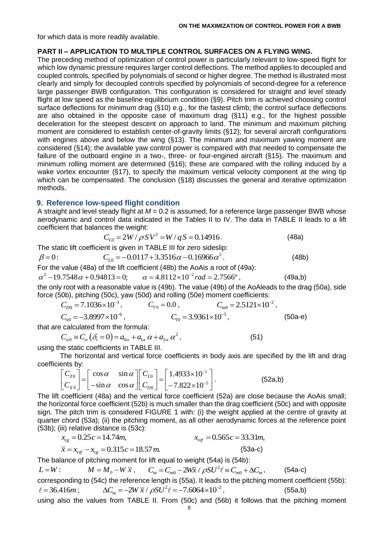for which data is more readily available.

## **PART II – APPLICATION TO MULTIPLE CONTROL SURFACES ON A FLYING WING.**

The preceding method of optimization of control power is particularly relevant to low-speed flight for which low dynamic pressure requires larger control deflections. The method applies to decoupled and coupled controls, specified by polynomials of second or higher degree. The method is illustrated most clearly and simply for decoupled controls specified by polynomials of second-degree for a reference large passenger BWB configuration. This configuration is considered for straight and level steady flight at low speed as the baseline equilibrium condition (§9). Pitch trim is achieved choosing control surface deflections for minimum drag (§10) e.g., for the fastest climb; the control surface deflections are also obtained in the opposite case of maximum drag (§11) e.g., for the highest possible deceleration for the steepest descent on approach to land. The minimum and maximum pitching moment are considered to establish center-of-gravity limits (§12); for several aircraft configurations with engines above and below the wing (§13). The minimum and maximum yawing moment are considered (§14); the available yaw control power is compared with that needed to compensate the failure of the outboard engine in a two-, three- or four-engined aircraft (§15). The maximum and minimum rolling moment are determined (§16); these are compared with the rolling induced by a wake vortex encounter (§17), to specify the maximum vertical velocity component at the wing tip which can be compensated. The conclusion (§18) discusses the general and iterative optimization methods.

## **9. Reference low-speed flight condition**

A straight and level steady flight at  $M = 0.2$  is assumed, for a reference large passenger BWB whose aerodynamic and control data indicated in the Tables II to IV. The data in TABLE II leads to a lift coefficient that balances the weight:<br> $C_{L0} = 2W/\rho\,SV^2 = W/q\,S$ he weight:<br>=  $2W / \rho SV^2$  =  $W / qS$  = 0.14916 . (48a)

$$
C_{10} = 2W / \rho SV^2 = W / qS = 0.14916.
$$
 (48a)

The static lift coefficient is given in TABLE III for zero sideslip:

$$
C_{L0} = 2W / \rho SV^2 = W / qS = 0.14916.
$$
 (48a)  
The static lift coefficient is given in TABLE III for zero sideslip:  

$$
\beta = 0:
$$
  $C_{L0} = -0.0117 + 3.3516\alpha - 0.16966\alpha^2.$  (48b)  
For the value (48a) of the lift coefficient (48b) the AoAis a root of (49a):  

$$
\alpha^2 - 19.7548\alpha + 0.94813 = 0;
$$
 
$$
\alpha = 4.8112 \times 10^{-2} rad = 2.7566^{\circ},
$$
 (49a,b)  
the only root with a necessarily only 0.6(b), The value (40b) of the do also be the dira

For the value (48a) of the lift coefficient (48b) the AoAis a root of (49a):

$$
\alpha^2 - 19.7548 \alpha + 0.94813 = 0;
$$
  $\alpha = 4.8112 \times 10^{-2} rad = 2.7566^{\circ},$ 

the only root with a reasonable value is (49b). The value (49b) of the AoAleads to the drag (50a), side force (50b), pitching (50c), yaw (50d) and rolling (50e) moment coefficients:

$$
C_{D0} = 7.1036 \times 10^{-3}
$$
,  $C_{Y0} = 0.0$ ,  $C_{m0} = 2.5121 \times 10^{-2}$ ,  
\n $C_{n0} = -3.8997 \times 10^{-6}$ ,  $C_{I0} = 3.9361 \times 10^{-5}$ , (50a-e)

that are calculated from the formula:  
\n
$$
C_{\alpha 0} \equiv C_{\alpha} (\delta_i = 0) = a_{0\alpha} + a_{1\alpha} \alpha + a_{2\alpha} \alpha^2,
$$
\n(51)

using the static coefficients in TABLE III.

The horizontal and vertical force coefficients in body axis are specified by the lift and drag ents by:<br>  $\begin{bmatrix} C_{Z0} \end{bmatrix} = \begin{bmatrix} \cos \alpha & \sin \alpha \end{bmatrix} \begin{bmatrix} C_{L0} \end{bmatrix} = \begin{bmatrix} 1.4933 \times 10^{-1} \end{bmatrix}$ . (52a.b) coefficients by:

ents by:  
\n
$$
\begin{bmatrix} C_{z0} \\ C_{x0} \end{bmatrix} = \begin{bmatrix} \cos \alpha & \sin \alpha \\ -\sin \alpha & \cos \alpha \end{bmatrix} \begin{bmatrix} C_{L0} \\ C_{D0} \end{bmatrix} = \begin{bmatrix} 1.4933 \times 10^{-1} \\ -7.822 \times 10^{-5} \end{bmatrix}.
$$
 (52a,b)

The lift coefficient (48a) and the vertical force coefficient (52a) are close because the AoAis small; the horizontal force coefficient (52b) is much smaller than the drag coefficient (50c) and with opposite sign. The pitch trim is considered FIGURE 1 with: (i) the weight applied at the centre of gravity at quarter chord (53a); (ii) the pitching moment, as all other aerodynamic forces at the reference point (53b); (iii) relative distance is (53c):<br> $x_{cg} = 0.25c = 14.74m,$ 

$$
x_{cg} = 0.25c = 14.74m,
$$
  
\n $\bar{x} = x_{ref} - x_{cg} = 0.315c = 18.57m.$   
\n $x_{ref} = 0.565c = 33.31m,$   
\n(53a-c)

The balance of pitching moment for lift equal to weight (54a) is (54b):

 $L = W$ :  $M = M_0 - W \bar{x}$ ,  $C_m = C_{m0} - 2W\bar{x} / \rho SU^2$ lift equal to weight (54a) is (54b):<br>  $C_m = C_{m0} - 2W\bar{x} / \rho SU^2 \ell \equiv C_{m0} + \Delta C_m,$  (54a-c) corresponding to (54c) the reference length is (55a). It leads to the pitching moment coefficient (55b):<br>  $\ell = 36.416m$ ;  $\Delta C_m = -2W\bar{x} / \rho SU^2 \ell = -7.6064 \times 10^{-2}$ , (55a,b) = 36.416*m* ;  $\Delta C_m = -2W \bar{x} / \rho SU^2 \ell = -7.6064 \times 10^{-2}$ , using also the values from TABLE II. From (50c) and (56b) it follows that the pitching moment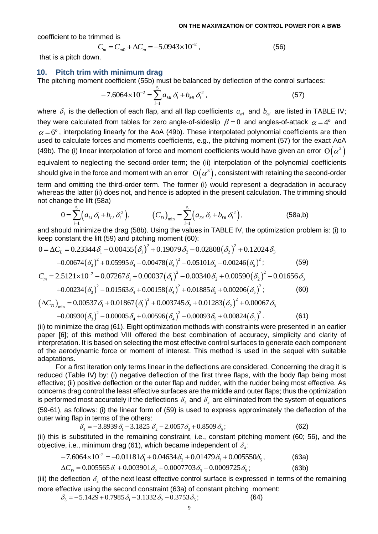coefficient to be trimmed is

immed is  
\n
$$
C_m = C_{m0} + \Delta C_m = -5.0943 \times 10^{-2},
$$
\n(56)

that is a pitch down.

#### **10. Pitch trim with minimum drag**

The pitching moment coefficient (55b) must be balanced by deflection of the control surfaces:

$$
-7.6064 \times 10^{-2} = \sum_{i=1}^{5} a_{Mi} \delta_i + b_{Mi} \delta_i^2,
$$
 (57)

where  $\delta_i$  is the deflection of each flap, and all flap coefficients  $a_{\alpha i}$  and  $b_{\alpha i}$  are listed in TABLE IV; they were calculated from tables for zero angle-of-sideslip  $\beta = 0$  and angles-of-attack  $\alpha = 4^{\circ}$  and  $\alpha$  = 6°, interpolating linearly for the AoA (49b). These interpolated polynomial coefficients are then used to calculate forces and moments coefficients, e.g., the pitching moment (57) for the exact AoA (49b). The (i) linear interpolation of force and moment coefficients would have given an error  $\mathrm{O}\big(\alpha^2\big)$ equivalent to neglecting the second-order term; the (ii) interpolation of the polynomial coefficients should give in the force and moment with an error  $\,\mathrm{O}\big(\alpha^3\big)$ , consistent with retaining the second-order term and omitting the third-order term. The former (i) would represent a degradation in accuracy term and omitting the third-order term. The former (i) would represent a degradation in accuracy<br>whereas the latter (ii) does not, and hence is adopted in the present calculation. The trimming should<br>not change the lift ( not change the lift (58a)

inge the lift (58a)  
\n
$$
0 = \sum_{i=1}^{5} (a_{Li} \delta_i + b_{Li} \delta_i^2), \qquad (C_D)_{min} = \sum_{i=1}^{5} (a_{Di} \delta_i + b_{Di} \delta_i^2), \qquad (58a,b)
$$

and should minimize the drag (58b). Using the values in TABLE IV, the optimization problem is: (i) to keep constant the lift (59) and pitching moment (60):<br>0 =  $\Delta C$ , = 0.23344  $\delta$ , -0.00455( $\delta$ ,)<sup>2</sup> + 0.19079  $\delta$ , -0. and should minimize the drag (58b). Using the values in TABLE IV, the optimization prob<br>keep constant the lift (59) and pitching moment (60):<br> $0 = \Delta C_L = 0.23344 \delta_1 - 0.00455 (\delta_1)^2 + 0.19079 \delta_2 - 0.02808 (\delta_2)^2 + 0.12024 \delta_3$ 

keep constant the lift (59) and pitching moment (60):  
\n
$$
0 = \Delta C_L = 0.23344 \delta_1 - 0.00455 (\delta_1)^2 + 0.19079 \delta_2 - 0.02808 (\delta_2)^2 + 0.12024 \delta_3
$$
\n
$$
-0.00674 (\delta_3)^2 + 0.05995 \delta_4 - 0.00478 (\delta_4)^2 - 0.05101 \delta_5 - 0.00246 (\delta_5)^2; \qquad (59)
$$
\n
$$
C_m = 2.5121 \times 10^{-2} - 0.07267 \delta_1 + 0.00037 (\delta_1)^2 - 0.00340 \delta_2 + 0.00590 (\delta_2)^2 - 0.01656 \delta_3
$$
\n
$$
+0.00234 (\delta_3)^2 - 0.01563 \delta_4 + 0.00158 (\delta_4)^2 + 0.01885 \delta_5 + 0.00206 (\delta_5)^2; \qquad (60)
$$
\n
$$
(\Delta C_D)_{min} = 0.00537 \delta_1 + 0.01867 (\delta_1)^2 + 0.003745 \delta_2 + 0.01283 (\delta_2)^2 + 0.00067 \delta_3
$$
\n
$$
+0.00930 (\delta_3)^2 - 0.00005 \delta_4 + 0.00596 (\delta_4)^2 - 0.00093 \delta_5 + 0.00824 (\delta_5)^2. \qquad (61)
$$

(ii) to minimize the drag (61). Eight optimization methods with constraints were presented in an earlier paper [6]; of this method VIII offered the best combination of accuracy, simplicity and clarity of interpretation. It is based on selecting the most effective control surfaces to generate each component of the aerodynamic force or moment of interest. This method is used in the sequel with suitable adaptations.

For a first iteration only terms linear in the deflections are considered. Concerning the drag it is reduced (Table IV) by: (i) negative deflection of the first three flaps, with the body flap being most effective; (ii) positive deflection or the outer flap and rudder, with the rudder being most effective. As concerns drag control the least effective surfaces are the middle and outer flaps; thus the optimization is performed most accurately if the deflections  $\delta_4$  and  $\delta_3$  are eliminated from the system of equations (59-61), as follows: (i) the linear form of (59) is used to express approximately the deflection of the outer wing flap in terms of the others:<br>  $\delta_4 = -3.8939 \delta_1 - 3.1825 \delta_2 - 2.0057 \delta_3 + 0.8509 \delta_5;$  (62) outer wing flap in terms of the others:

$$
\delta_4 = -3.8939 \delta_1 - 3.1825 \delta_2 - 2.0057 \delta_3 + 0.8509 \delta_5; \tag{62}
$$

(ii) this is substituted in the remaining constraint, i.e., constant pitching moment (60; 56), and the objective, i.e., minimum drag (61), which became independent of  $\delta_4$ :<br>-7.6064×10<sup>-2</sup> = -0.01181 $\delta_1$  + 0.04634 $\delta_2$ objective, i.e., minimum drag (61), which became independent of  $\delta_4$ :<br>  $-7.6064 \times 10^{-2} = -0.01181 \delta_1 + 0.04634 \delta_2 + 0.01479 \delta_3 + 0.005550 \delta_5$ ,<br>  $\Delta C_D = 0.005565 \delta_1 + 0.003901 \delta_2 + 0.0007703 \delta_3 - 0.0009725 \delta_5$ ;

$$
-7.6064 \times 10^{-2} = -0.01181 \delta_1 + 0.04634 \delta_2 + 0.01479 \delta_3 + 0.005550 \delta_5,
$$
 (63a)

$$
\Delta C_p = 0.005565 \delta_1 + 0.003901 \delta_2 + 0.0007703 \delta_3 - 0.0009725 \delta_5;
$$
 (63b)

(iii) the deflection  $\delta_3$  of the next least effective control surface is expressed in terms of the remaining more effective using the second constraint (63a) of constant pitching moment:<br>  $\delta_3 = -5.1429 + 0.7985 \delta_1 - 3.1332 \delta_2 - 0.3753 \delta_5;$  (64)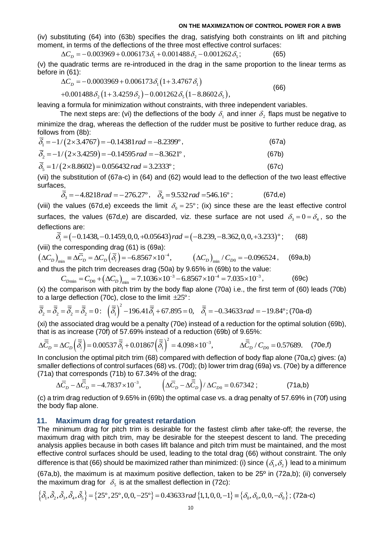(iv) substituting (64) into (63b) specifies the drag, satisfying both constraints on lift and pitching moment, in terms of the deflections of the three most effective control surfaces:<br>  $\Delta C_D = -0.003969 + 0.006173 \delta_1 + 0.00$ moment, in terms of the deflections of the three most effective control surfaces:

$$
\Delta C_D = -0.003969 + 0.006173 \delta_1 + 0.001488 \delta_2 - 0.001262 \delta_5; \tag{65}
$$

(v) the quadratic terms are re-introduced in the drag in the same proportion to the linear terms as<br>before in (61):<br> $\Delta C_D = -0.0003969 + 0.006173 \delta_1 (1 + 3.4767 \delta_1)$  (66) before in (61):

$$
\Delta C_D = -0.0003969 + 0.006173 \delta_1 (1 + 3.4767 \delta_1)
$$
  
+0.001488 \delta\_2 (1 + 3.4259 \delta\_2) - 0.001262 \delta\_5 (1 - 8.8602 \delta\_5), (66)

leaving a formula for minimization without constraints, with three independent variables.

The next steps are: (vi) the deflections of the body  $\delta_{\scriptscriptstyle \rm I}$  and inner  $\delta_{\scriptscriptstyle 2}$  flaps must be negative to minimize the drag, whereas the deflection of the rudder must be positive to further reduce drag, as follows from (8b):<br>follows from (8b):<br> $\overline{\delta_1} = -1/(2 \times 3.4767) = -0.14381 \, rad = -8.2399^\circ$ , (67a) follows from (8b):

$$
\overline{\delta}_1 = -1/(2 \times 3.4767) = -0.14381 rad = -8.2399^\circ, \tag{67a}
$$
\n
$$
\overline{\delta}_2 = -1/(2 \times 3.4259) = -0.14595 rad = -8.3621^\circ, \tag{67b}
$$
\n
$$
\overline{\delta}_5 = 1/(2 \times 8.8602) = 0.056432 rad = 3.2333^\circ; \tag{67c}
$$

(vii) the substitution of (67a-c) in (64) and (62) would lead to the deflection of the two least effective surfaces,

$$
\overline{\delta}_3 = -4.8218 \, rad = -276.27^\circ, \quad \overline{\delta}_4 = 9.532 \, rad = 546.16^\circ \, ; \tag{67d,e}
$$

(viii) the values (67d,e) exceeds the limit  $\delta_0 = 25^\circ$ ; (ix) since these are the least effective control surfaces, the values (67d,e) are discarded, viz. these surface are not used  $\delta_3=0=\delta_4$ , so the deflections are: *i*  $\sigma_0$  =  $\sigma_1$  ,  $\sigma_2$  =  $\sigma_3$  ,  $\sigma_4$  are discarded, viz. these surface are not used  $\delta_3$  deflections are:<br>  $\delta_i = (-0.1438, -0.1459, 0, 0, +0.05643) rad = (-8.239, -8.362, 0, 0, +3.233)$ °;

$$
\overline{\delta}_i = (-0.1438, -0.1459, 0, 0, +0.05643) rad = (-8.239, -8.362, 0, 0, +3.233)^\circ; \tag{68}
$$

(viii) the corresponding drag (61) is (69a):

 $(\Delta C_D)_{\text{min}} \equiv \Delta \overline{C}_D = \Delta C_D (\overline{\delta}_i) = -6.8567 \times 10^{-4},$   $(\Delta C_D)_{\text{min}}$ effections are:<br>  $\overline{\delta}_i = (-0.1438, -0.1459, 0, 0, +0.05643) rad = (-8.239, -8.362, 0, 0, +3.233)^\circ;$  (68)<br>
viii) the corresponding drag (61) is (69a):<br>  $\Delta C_D$ <sub>*D*min</sub> ≡  $\Delta \overline{C}_D = \Delta C_D (\overline{\delta}_i) = -6.8567 \times 10^{-4},$  ( $\Delta C_D$ )<sub>min</sub> /  $C_{D$ and thus the pitch trim decreases drag (50a) by 9.65% in (69b) to the value: m decreases drag (50a) by 9.65% in (69b) to the val<br>( $\Delta C_D$ )<sub>min</sub> = 7.1036×10<sup>-3</sup> – 6.8567×10<sup>-4</sup> = 7.035×10<sup>-3</sup>  $\mu_{\text{min}}$  ≡ Δ $\overline{C}_D$  = Δ $C_D$  ( $\overline{\delta}_i$ ) = −6.8567×10<sup>-4</sup>, (Δ $C_D$ )<sub>min</sub> /  $C_{D0}$  = −0.096524, (69a,b s the pitch trim decreases drag (50a) by 9.65% in (69b) to the value:<br>  $C_{D_{\text{min}}} = C_{D0} + (\Delta C_D)_{\text{min}} = 7.1036 \times 10^{-3$ 

(x) the comparison with pitch trim by the body flap alone (70a) i.e., the first term of (60) leads (70b) to a large deflection (70c), close to the limit  $\pm 25^{\circ}$ :  $C_{Dmin} = C_{D0} + (\Delta C_{D})_{min} = 7.1036 \times 10^{-6} - 6.8367 \times 10^{-6} = 7.033 \times 10^{-6}$ , (690<br>
(x) the comparison with pitch trim by the body flap alone (70a) i.e., the first term of (60<br>
(io a large deflection (70c), close to the limit

$$
\overline{\overline{\delta}}_2 = \overline{\overline{\delta}}_2 = \overline{\overline{\delta}}_2 = \overline{\overline{\delta}}_2 = 0: \quad \left(\overline{\overline{\delta}}_1\right)^2 - 196.41\overline{\overline{\delta}}_1 + 67.895 = 0, \quad \overline{\overline{\delta}}_1 = -0.34633 \, rad = -19.84^\circ; \text{(70a-d)}
$$

(xi) the associated drag would be a penalty (70e) instead of a reduction for the optimal solution (69b), that is as increase (70f) of 57.69% instead of a reduction (69b) of 9.65%:

(xi) the associated drag would be a penalty (*I*0e) instead of a reduction for the optimal solution (b  
that is as increase (70f) of 57.69% instead of a reduction (69b) of 9.65%:  

$$
\Delta \overline{\overline{C}}_D = \Delta C_D \left( \overline{\overline{\delta}}_i \right) = 0.00537 \overline{\overline{\delta}}_1 + 0.01867 \left( \overline{\overline{\delta}}_1 \right)^2 = 4.098 \times 10^{-3}, \qquad \Delta \overline{\overline{C}}_D / C_{D0} = 0.57689. \tag{70e,f}
$$

In conclusion the optimal pitch trim (68) compared with deflection of body flap alone (70a,c) gives: (a) smaller deflections of control surfaces (68) vs. (70d); (b) lower trim drag (69a) vs. (70e) by a difference (71a) that corresponds (71b) to 67.34% of the drag;<br>  $\Delta \overline{C}_D - \Delta \overline{C}_D = -4.7837 \times 10^{-3}$ ,  $\left( \Delta \overline{C}_D - \Delta \overline{C$ (71a) that corresponds (71b) to 67.34% of the drag;

$$
\Delta \overline{C}_D - \Delta \overline{\overline{C}}_D = -4.7837 \times 10^{-3}, \qquad \left( \Delta \overline{C}_D - \Delta \overline{\overline{C}}_D \right) / \Delta C_{D0} = 0.67342 ; \qquad (71a,b)
$$

(c) a trim drag reduction of 9.65% in (69b) the optimal case vs. a drag penalty of 57.69% in (70f) using the body flap alone.

### **11. Maximum drag for greatest retardation**

The minimum drag for pitch trim is desirable for the fastest climb after take-off; the reverse, the maximum drag with pitch trim, may be desirable for the steepest descent to land. The preceding analysis applies because in both cases lift balance and pitch trim must be maintained, and the most effective control surfaces should be used, leading to the total drag (66) without constraint. The only difference is that (66) should be maximized rather than minimized: (i) since  $\big(\delta_{\!\scriptscriptstyle 1},\delta_{\!\scriptscriptstyle 2}\big)$  lead to a minimum

 $(67a,b)$ , the maximum is at maximum positive deflection, taken to be 25<sup>o</sup> in  $(72a,b)$ ; (ii) conversely the maximum drag for  $\,\,\delta_{\scriptscriptstyle{5}}\,$  is at the smallest deflection in (72c): 0 difference is that (66) should be maximized rather than minimized: (i) since  $(o_1, o_2)$  lead to a m<br>
(67a,b), the maximum is at maximum positive deflection, taken to be 25<sup>o</sup> in (72a,b); (ii) cor<br>
the maximum drag for

$$
\left\{\tilde{\delta}_1, \tilde{\delta}_2, \tilde{\delta}_3, \tilde{\delta}_4, \tilde{\delta}_5\right\} = \left\{25^\circ, 25^\circ, 0, 0, -25^\circ\right\} = 0.43633 \, \text{rad} \left\{1, 1, 0, 0, -1\right\} \equiv \left\{\delta_0, \delta_0, 0, 0, -\delta_0\right\}; \text{ (72a-c)}
$$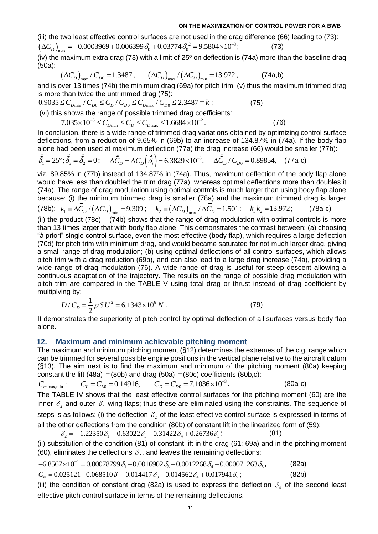(iii) the two least effective control surfaces are not used in the drag difference (66) leading to (73): (iii) the two least effective control surfaces are not used in the draid ( $\Delta C_D$ )<sub>max</sub> = -0.0003969+0.006399 $\delta_0$  +0.03774 $\delta_0^2$  = 9.5804×10<sup>-3</sup> **ON THE MAXIMIZATION OF**<br>ii) the two least effective control surfaces are not used in the drag difference  $\Delta C_D$   $_{\text{max}}$  = -0.0003969 + 0.006399  $\delta_0$  + 0.03774  $\delta_0^2$  = 9.5804×10<sup>-3</sup>; ; (73)

(iv) the maximum extra drag (73) with a limit of 25º on deflection is (74a) more than the baseline drag (50a):

$$
\left(\Delta C_D\right)_{\text{max}} / C_{D0} = 1.3487, \qquad \left(\Delta C_D\right)_{\text{max}} / \left(\Delta C_D\right)_{\text{min}} = 13.972, \qquad (74a,b)
$$

and is over 13 times (74b) the minimum drag (69a) for pitch trim; (v) thus the maximum trimmed drag is more than twice the untrimmed drag (75):

 $0.9035 \le C_{D_{\text{min}}} / C_{D0} \le C_{D} / C_{D0} \le C_{D_{\text{max}}} / C_{D0} \le 2.3487 \equiv k$ ; ; (75) (vi) this shows the range of possible trimmed drag coefficients:  $\sum_{D_{\text{min}}} C_{D_{\text{D}}} = C_{D} + C_{D0} = C_{D_{\text{max}}} + C_{D0} = 2.5467 = k,$ <br>
shows the range of possible trimmed drag coefficients:<br>  $7.035 \times 10^{-3} \le C_{D_{\text{min}}} \le C_{D} \le C_{D_{\text{max}}} \le 1.6684 \times 10^{-2}.$  (76)

In conclusion, there is a wide range of trimmed drag variations obtained by optimizing control surface deflections, from a reduction of 9.65% in (69b) to an increase of 134.87% in (74a). If the body flap

alone had been used at maximum deflection (77a) the drag increase (66) would be smaller (77b):  
\n
$$
\tilde{\delta}_1 = 25^\circ; \tilde{\delta}_2 = \tilde{\delta}_2 = 0: \quad \Delta \tilde{C}_D = \Delta C_D \left( \tilde{\delta}_i \right) = 6.3829 \times 10^{-3}, \quad \Delta \tilde{C}_D / C_{D0} = 0.89854, \quad (77a-c)
$$

viz. 89.85% in (77b) instead of 134.87% in (74a). Thus, maximum deflection of the body flap alone would have less than doubled the trim drag (77a), whereas optimal deflections more than doubles it (74a). The range of drag modulation using optimal controls is much larger than using body flap alone because: (i) the minimum trimmed drag is smaller (78a) and the maximum trimmed drag is larger (78b):  $k_1 = \Delta \overline{C}_D / (\Delta C_D)_{\min} = 9.309$ ;  $k_2 = (\Delta C_D)_{\max} / \Delta \overline{C}_D = 1.501$ ;  $k_1 k_2 = 13.972$ ; (78a-c) (ii) the product (78c)  $\equiv$  (74b) shows that the range of drag modulation with optimal controls is more than 13 times larger that with body flap alone. This demonstrates the contrast between: (a) choosing "à priori" single control surface, even the most effective (body flap), which requires a large deflection (70d) for pitch trim with minimum drag, and would became saturated for not much larger drag, giving a small range of drag modulation; (b) using optimal deflections of all control surfaces, which allows pitch trim with a drag reduction (69b), and can also lead to a large drag increase (74a), providing a wide range of drag modulation (76). A wide range of drag is useful for steep descent allowing a continuous adaptation of the trajectory. The results on the range of possible drag modulation with pitch trim are compared in the TABLE V using total drag or thrust instead of drag coefficient by multiplying by:

$$
D/C_D = \frac{1}{2} \rho S U^2 = 6.1343 \times 10^6 N . \tag{79}
$$

It demonstrates the superiority of pitch control by optimal deflection of all surfaces versus body flap alone.

### **12. Maximum and minimum achievable pitching moment**

The maximum and minimum pitching moment (§12) determines the extremes of the c.g. range which can be trimmed for several possible engine positions in the vertical plane relative to the aircraft datum (§13). The aim next is to find the maximum and minimum of the pitching moment (80a) keeping constant the lift (48a) = (80b) and drag (50a) = (80c) coefficients (80b,c):<br>  $C_{m \max,min}$ :  $C_{L} = C_{L0} = 0.14916$ ,  $C_{D} = C_{D0} = 7.10$ constant the lift (48a)  $\equiv$  (80b) and drag (50a)  $\equiv$  (80c) coefficients (80b,c): (§13). The aim next is to find the maximum and minimum<br>constant the lift (48a) = (80b) and drag (50a) = (80c) coeffici<br> $C_{m \max,min}$ :  $C_{L} = C_{L0} = 0.14916$ ,  $C_{D} = C_{D0} = 7.1036 \times 10^{-4}$ 

3 − The TABLE IV shows that the least effective control surfaces for the pitching moment (60) are the inner  $\delta_{2}$  and outer  $\delta_{4}$  wing flaps; thus these are eliminated using the constraints. The sequence of steps is as follows: (i) the deflection  $\delta_{_2}$  of the least effective control surface is expressed in terms of all the other deflections from the condition (80b) of constant lift in the linearized form of (59): 2 as follows: (i) the deflection  $\delta_2$  of the least effective contributed deflections from the condition (80b) of constant lift in the  $\delta_2 = -1.22350 \delta_1 - 0.63022 \delta_3 - 0.31422 \delta_4 + 0.26736 \delta_5$ ;  $\delta_2 = -1.22350 \delta_1 - 0.63022 \delta_2 - 0.31422 \delta_4 + 0.26736 \delta_5;$  (81)

(ii) substitution of the condition (81) of constant lift in the drag (61; 69a) and in the pitching moment (60), eliminates the deflections  $\delta_2$ , and leaves the remaining deflections: 6.8567 x10<sup>-4</sup> = 0.00078799  $\delta_1$  - 0.0016902  $\delta_3$  - 0.0012268  $\delta_4$  + 0.000071263  $\delta_5$ , (82a)<br>
6.8567 x10<sup>-4</sup> = 0.00078799  $\delta_1$  - 0.0016902  $\delta_3$  - 0.0012268  $\delta_4$  + 0.000071263  $\delta_5$ , (82a)<br>
6.8567 x10<sup>-4</sup> =

$$
-6.8567 \times 10^{-4} = 0.00078799 \delta_1 - 0.0016902 \delta_2 - 0.0012268 \delta_4 + 0.000071263 \delta_5, \tag{82a}
$$

 $C_m = 0.025121 - 0.068510 \delta_1 - 0.014417 \delta_2 - 0.014562 \delta_4 + 0.017941 \delta_5$ ; ; (82b)

(iii) the condition of constant drag (82a) is used to express the deflection  $\delta_4$  of the second least effective pitch control surface in terms of the remaining deflections.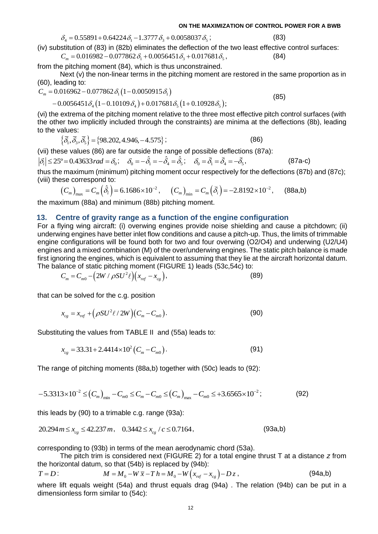$\delta_4 = 0.55891 + 0.64224 \delta_1 - 1.3777 \delta_3 + 0.0058037 \delta_5$ ;

(iv) substitution of (83) in (82b) eliminates the deflection of the two least effective control surfaces:  $\partial_4 = 0.55891 + 0.64224 \partial_1 - 1.3777 \partial_3 + 0.0058037 \partial_5$ ; (83)<br>stitution of (83) in (82b) eliminates the deflection of the two least effective<br> $C_m = 0.016982 - 0.077862 \partial_1 + 0.0056451 \partial_3 + 0.017681 \partial_5$ , (84)

from the pitching moment (84), which is thus unconstrained.

Next (v) the non-linear terms in the pitching moment are restored in the same proportion as in (60), leading to:<br>  $C_m = 0.016962 - 0.077862 \delta_1 (1 - 0.0050915 \delta_1)$  (85) (60), leading to: 0.077862 $\delta_1$ (1-0.0050915 $\delta_1$ )<br>  $\delta_4$ (1-0.10109 $\delta_4$ )+0.017681 $\delta_5$ (1+0.10928 $\delta_5$ );

60), leading to:  

$$
C_m = 0.016962 - 0.077862 \delta_1 (1 - 0.0050915 \delta_1)
$$

(60), leading to:  
\n
$$
C_m = 0.016962 - 0.077862 \delta_1 (1 - 0.0050915 \delta_1)
$$
\n
$$
-0.0056451 \delta_4 (1 - 0.10109 \delta_4) + 0.017681 \delta_5 (1 + 0.10928 \delta_5);
$$

(vi) the extrema of the pitching moment relative to the three most effective pitch control surfaces (with the other two implicitly included through the constraints) are minima at the deflections (8b), leading to the values:

values:  
\n
$$
\{\bar{\delta}_1, \bar{\delta}_3, \bar{\delta}_5\} = \{98.202, 4.946, -4.575\};
$$
\n(86)

(vii) these values (86) are far outside the range of possible deflections (87a):

 $|\delta_i|$   $\leq$  25° = 0.43633 *rad* =  $\delta_0$ ;  $\delta_0 = -\hat{\delta}_1 = -\hat{\delta}_4 = \hat{\delta}_5$ ;  $\delta_0 = \bar{\delta}_1 = \bar{\delta}_4 = -\bar{\delta}_5$ , (87a-c)

thus the maximum (minimum) pitching moment occur respectively for the deflections (87b) and (87c); (viii) these correspond to:

\n The system of the system of linear equations is given by:\n 
$$
(C_m)_{\text{max}} = C_m \left( \hat{\delta}_i \right) = 6.1686 \times 10^{-2}, \quad\n (C_m)_{\text{min}} = C_m \left( \check{\delta}_i \right) = -2.8192 \times 10^{-2}, \quad\n (88a, b)_{\text{min}} = 6.1686 \times 10^{-2}, \quad\n (C_m)_{\text{min}} = 6.1686 \times 10^{-2}, \quad\n (C_m)_{\text{min}} = 6.1686 \times 10^{-2}, \quad\n (C_m)_{\text{min}} = 6.1686 \times 10^{-2}, \quad\n (C_m)_{\text{min}} = 6.1686 \times 10^{-2}, \quad\n (C_m)_{\text{min}} = 6.1686 \times 10^{-2}, \quad\n (C_m)_{\text{min}} = 6.1686 \times 10^{-2}, \quad\n (C_m)_{\text{min}} = 6.1686 \times 10^{-2}, \quad\n (C_m)_{\text{min}} = 6.1686 \times 10^{-2}, \quad\n (C_m)_{\text{min}} = 6.1686 \times 10^{-2}, \quad\n (C_m)_{\text{min}} = 6.1686 \times 10^{-2}, \quad\n (C_m)_{\text{min}} = 6.1686 \times 10^{-2}, \quad\n (C_m)_{\text{min}} = 6.1686 \times 10^{-2}, \quad\n (C_m)_{\text{min}} = 6.1686 \times 10^{-2}, \quad\n (C_m)_{\text{min}} = 6.1686 \times 10^{-2}, \quad\n (C_m)_{\text{min}} = 6.1686 \times 10^{-2}, \quad\n (C_m)_{\text{min}} = 6.1686 \times 10^{-2}, \quad\n (C_m)_{\text{min}} = 6.1686 \times 10^{-2}, \quad\n (C_m)_{\text{min}} = 6.1686 \times 10^{-2}, \quad\n (C_m)_{\text{min}} = 6.1686 \times 10^{-2}, \quad\n (C_m)_{\text{min}} = 6.1686 \times 10^{-2}, \quad\n (C_m)_{\text{min}} = 6.1686 \times 10^{-2}, \quad\n (C_m)_{\text{min}} = 6.16
$$

the maximum (88a) and minimum (88b) pitching moment.

### **13. Centre of gravity range as a function of the engine configuration**

For a flying wing aircraft: (i) overwing engines provide noise shielding and cause a pitchdown; (ii) underwing engines have better inlet flow conditions and cause a pitch-up. Thus, the limits of trimmable engine configurations will be found both for two and four overwing (O2/O4) and underwing (U2/U4) engines and a mixed combination (M) of the over/underwing engines. The static pitch balance is made first ignoring the engines, which is equivalent to assuming that they lie at the aircraft horizontal datum.

The balance of static pitching moment (FIGURE 1) leads (53c,54c) to:  
\n
$$
C_m = C_{m0} - \left(2W / \rho SU^2 \ell\right) \left(x_{ref} - x_{cg}\right),
$$
\n(89)

that can be solved for the c.g. position

$$
x_{cg} = x_{ref} + (\rho SU^2 \ell / 2W)(C_m - C_{m0}).
$$
\n(90)

Substituting the values from TABLE II and (55a) leads to:

$$
x_{cg} = 33.31 + 2.4414 \times 10^2 (C_m - C_{m0}).
$$
\n(91)

The range of pictning moments (88a,b) together with (50c) leads to (92):  
\n
$$
-5.3313 \times 10^{-2} \le (C_m)_{\text{min}} - C_{m0} \le C_m - C_{m0} \le (C_m)_{\text{max}} - C_{m0} \le +3.6565 \times 10^{-2};
$$
\n(92)

this leads by (90) to a trimable c.g. range (93a):

$$
20.294 \, m \le x_{cg} \le 42.237 \, m \,, \quad 0.3442 \le x_{cg} / c \le 0.7164 \,, \tag{93a,b}
$$

corresponding to (93b) in terms of the mean aerodynamic chord (53a).

The pitch trim is considered next (FIGURE 2) for a total engine thrust T at a distance *z* from the horizontal datum, so that (54b) is replaced by (94b):<br> $T = D:$   $M = M_0 - W\overline{x} - T h = M_0 - W(x_{ref} - x_{cg}) - Dz$ ,

$$
T = D: \t\t M = M_0 - W\overline{x} - T h = M_0 - W(x_{ref} - x_{cg}) - D z,
$$
\t(94a,b)

where lift equals weight (54a) and thrust equals drag (94a) . The relation (94b) can be put in a dimensionless form similar to (54c):

(85)

; (83)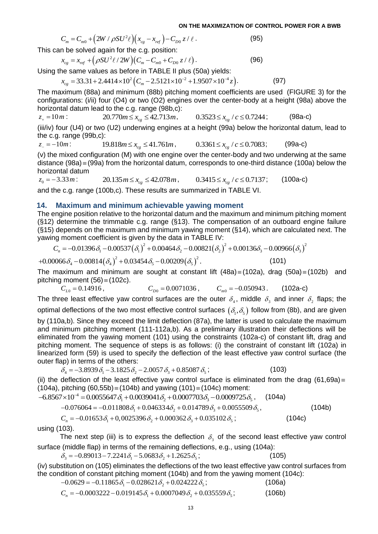; (98a-c)

**ON THE MAXIMIZATION OF CC**  

$$
C_m = C_{m0} + (2W / \rho SU^2 \ell)(x_{cg} - x_{ref}) - C_{D0} z / \ell.
$$
 (95)

This can be solved again for the c.g. position:  
\n
$$
x_{cg} = x_{ref} + (\rho S U^2 \ell / 2W)(C_m - C_{m0} + C_{D0} z / \ell).
$$
\n(96)

Using the same values as before in TABLE II plus (50a) yields:

$$
x_{cg} = x_{ref} + (\rho SU^2 l' 2W)(C_m - C_{m0} + C_{D0} z/l)
$$
  
we same values as before in TABLE II plus (50a) yields:  

$$
x_{cg} = 33.31 + 2.4414 \times 10^2 (C_m - 2.5121 \times 10^{-2} + 1.9507 \times 10^{-4} z).
$$
 (97)

The maximum (88a) and minimum (88b) pitching moment coefficients are used (FIGURE 3) for the configurations: (i/ii) four (O4) or two (O2) engines over the center-body at a height (98a) above the horizontal datum lead to the c.g. range (98b,c): a to the c.g. range (500,c).<br>20.770 $m \le x_{cg} \le 42.713m$ ,  $0.3523 \le x_{cg} / c \le 0.7244$ 

 $z_+ = 10 m$ : (iii/iv) four (U4) or two (U2) underwing engines at a height (99a) below the horizontal datum, lead to the c.g. range (99b,c):

 $z_{-} = -10m$ : 19.818 $m \le x_{cg} \le 41.761m$ , 0.3361 $\le x_{cg} / c \le 0.7083$  $(99a-c)$ 

(v) the mixed configuration (M) with one engine over the center-body and two underwing at the same distance (98a) = (99a) from the horizontal datum, corresponds to one-third distance (100a) below the horizontal datum

 $z_0 = -3.33m$ :  $20.135 \text{ m} \le x_{cg} \le 42.078 \text{ m},$   $0.3415 \le x_{cg} / c \le 0.7137$  $(100a-c)$ 

and the c.g. range (100b,c). These results are summarized in TABLE VI.

### **14. Maximum and minimum achievable yawing moment**

The engine position relative to the horizontal datum and the maximum and minimum pitching moment (§12) determine the trimmable c.g. range (§13). The compensation of an outboard engine failure (§15) depends on the maximum and minimum yawing moment (§14), which are calculated next. The yawing moment coefficient is give (§15) depends on the maximum and minimum yawing moment (§14), which are calculated next. The yawing moment coefficient is given by the data in TABLE IV:<br>  $C_n = -0.01396 \delta_1 - 0.00537 (\delta_1)^2 + 0.00464 \delta_2 - 0.00821 (\delta_2)^2 + 0.0013$ yawing moment coefficient is given by the data in TABLE IV:

$$
C_n = -0.01396 \delta_1 - 0.00537 (\delta_1)^2 + 0.00464 \delta_2 - 0.00821 (\delta_2)^2 + 0.00136 \delta_3 - 0.00966 (\delta_3)^2
$$
  
0.0668 - 0.00814 ( $\delta$ )<sup>2</sup> + 0.034548 - 0.00209 ( $\delta$ )<sup>2</sup> (101)

$$
C_n = -0.01396 \delta_1 - 0.00537 (\delta_1)^2 + 0.00464 \delta_2 - 0.00821 (\delta_2)^2 + 0.00136 \delta_3 - 0.0096
$$
  
+0.00066  $\delta_4 - 0.00814 (\delta_4)^2 + 0.03454 \delta_5 - 0.00209 (\delta_5)^2$ . (101)

The maximum and minimum are sought at constant lift  $(48a) \equiv (102a)$ , drag  $(50a) \equiv (102b)$  and pitching moment (56) (102c).

$$
C_{L0} = 0.14916, \t C_{D0} = 0.0071036, \t C_{m0} = -0.050943. \t (102a-c)
$$

The three least effective yaw control surfaces are the outer  $\delta_4$ , middle  $\delta_3$  and inner  $\delta_2$  flaps; the optimal deflections of the two most effective control surfaces  $(\delta_{\!_1},\delta_{\!_2})$  follow from (8b), and are given

 $(2W/\rho SU^2 \ell/2)$ <br>  $(2W/\rho SU^2 \ell/2)$ <br>  $(2W/\rho SU^2 \ell/2)$ <br>  $(2W/\rho W) (C_m - C_{m0} + C_{D0} z / \ell/2)$ <br>  $(2W/\rho W) (C_m - C_{m0} + C_{D0} z / \ell/2)$ <br>  $+ 2.4414 \times 10^2 (C_m - 2.5121 \times 10^{-2} + 1.29$ <br>  $+ 2.4414 \times 10^2 (C_m - 2.5121 \times 10^{-2} + 1.29$ <br>  $+ 2.4414 \times 10^2$ by (110a,b). Since they exceed the limit deflection (87a), the latter is used to calculate the maximum and minimum pitching moment (111-112a,b). As a preliminary illustration their deflections will be eliminated from the yawing moment (101) using the constraints (102a-c) of constant lift, drag and pitching moment. The sequence of steps is as follows: (i) the constraint of constant lift (102a) in linearized form (59) is used to specify the deflection of the least effective yaw control surface (the outer flap) in terms of the others:<br>  $\delta_4 = -3.8939 \delta_1 - 3.1825 \delta_2 - 2.0057 \delta_3 + 0.85087 \delta_5;$  (103) outer flap) in terms of the others:

$$
\delta_4 = -3.8939 \delta_1 - 3.1825 \delta_2 - 2.0057 \delta_3 + 0.85087 \delta_5; \tag{103}
$$

(ii) the deflection of the least effective yaw control surface is eliminated from the drag (61,69a)  $\equiv$  $(104a)$ , pitching  $(60,55b) \equiv (104b)$  and yawing  $(101) \equiv (104c)$  moment:  $δ_4 = -3.8939 δ_1 - 3.1825 δ_2 - 2.0057 δ_3 + 0.85087 δ_5;$  (103)<br>
(ii) the deflection of the least effective yaw control surface is eliminated from (104a), pitching (60,55b) = (104b) and yawing (101) = (104c) moment:<br>  $-6.8567$ pitching (60,55b) = (104b) and yawing (101) = (104c) moment:<br>  $V \times 10^{-4} = 0.0055647 \delta_1 + 0.0039041 \delta_2 + 0.0007703 \delta_3 - 0.0009725 \delta_5$ , (104a)<br>  $-0.076064 = -0.011808 \delta_1 + 0.046334 \delta_2 + 0.014789 \delta_3 + 0.0055509 \delta_5$ , (104b)

4

$$
-0.076064 = -0.011808 \delta_1 + 0.046334 \delta_2 + 0.014789 \delta_3 + 0.0055509 \delta_5, \tag{104b}
$$

$$
S/10 = 0.0055647 \, o_1 + 0.0059041 \, o_2 + 0.0007703 \, o_3 - 0.0009725 \, o_5, \quad (104a)
$$
  
-0.076064 = -0.011808 \, o\_1 + 0.046334 \, o\_2 + 0.014789 \, o\_3 + 0.0055509 \, o\_5, \quad C\_n = -0.01653 \, o\_1 + 0.0025396 \, o\_2 + 0.000362 \, o\_3 + 0.035102 \, o\_5; \quad (104c)

using (103).

The next step (iii) is to express the deflection  $\delta_3$  of the second least effective yaw control surface (middle flap) in terms of the remaining deflections, e.g., using (104a):<br> $\delta_3 = -0.89013 - 7.2241 \delta_1 - 5.0683 \delta_2 + 1.2625 \delta_5;$  (1

$$
\delta_3 = -0.89013 - 7.2241 \delta_1 - 5.0683 \delta_2 + 1.2625 \delta_3; \tag{105}
$$

(iv) substitution on (105) eliminates the deflections of the two least effective yaw control surfaces from the condition of constant pitching moment (104b) and from the yawing moment (104c): stitution on (105) eliminates the deflections of the two<br>dition of constant pitching moment (104b) and from t<br>-0.0629 = -0.11865  $\delta_{\rm i}$  - 0.028621 $\delta_{\rm 2}$  + 0.024222  $\delta_{\rm s}$  ; dition of constant pitching moment (104b) and from the yawing<br>-0.0629 = −0.11865  $\delta_1$  − 0.028621 $\delta_2$  + 0.024222  $\delta_5$ ;<br> $C_n$  = −0.0003222 − 0.019145  $\delta_1$  + 0.0007049  $\delta_2$  + 0.035559  $\delta_5$ ;

 $-0.0629 = -0.11865 \delta_1 - 0.028621 \delta_2 + 0.024222 \delta_5;$  (106a)

$$
C_n = -0.0003222 - 0.019145 \delta_1 + 0.0007049 \delta_2 + 0.035559 \delta_5; \tag{106b}
$$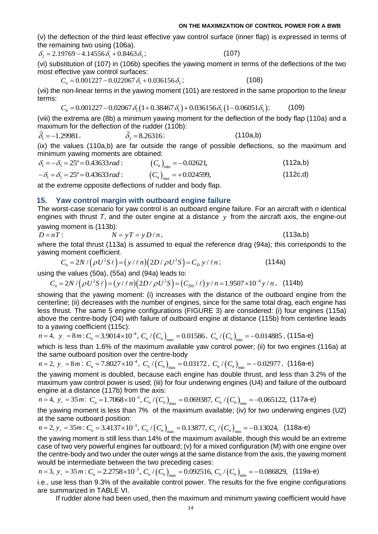(v) the deflection of the third least effective yaw control surface (inner flap) is expressed in terms of the remaining two using (106a).

 $\delta_2 = 2.19769 - 4.14556 \delta_1 + 0.8463 \delta_2$ ;

$$
\hspace{1.6cm} ; \hspace{1.6cm} (107)
$$

(vi) substitution of (107) in (106b) specifies the yawing moment in terms of the deflections of the two most effective yaw control surfaces:

 $C_n = 0.001227 - 0.022067 \delta_1 + 0.036156 \delta_2$ ;  $(108)$ 

(vii) the non-linear terms in the yawing moment (101) are restored in the same proportion to the linear terms: =  $0.001227 - 0.022067 \delta_1 + 0.036136 \delta_5$ , (100)<br>
n-linear terms in the yawing moment (101) are restored in the same propo<br>
=  $0.001227 - 0.02067 \delta_1 (1 + 0.38467 \delta_1) + 0.036156 \delta_5 (1 - 0.06051 \delta_5);$  (1<sup>1</sup>

$$
C_n = 0.001227 - 0.02067 \delta_1 (1 + 0.38467 \delta_1) + 0.036156 \delta_5 (1 - 0.06051 \delta_5); \tag{109}
$$

(viii) the extrema are (8b) a minimum yawing moment for the deflection of the body flap (110a) and a maximum for the deflection of the rudder (110b):

$$
\overline{\delta}_1 = -1.29981, \qquad \overline{\delta}_2 = 8.26316; \qquad (110a,b)
$$

(ix) the values (110a,b) are far outside the range of possible deflections, so the maximum and minimum yawing moments are obtained:<br>  $\delta_1 = -\delta_5 = 25^\circ = 0.43633 \, rad$ :  $(C_n)_{\text{min}} = -0.02621$ , (112a,b)

minimum yawing moments are obtained:  
\n
$$
\delta_1 = -\delta_5 = 25^\circ = 0.43633 \, rad
$$
:  
\n $-\delta_1 = \delta_5 = 25^\circ = 0.43633 \, rad$ :  
\n $(C_n)_{max} = +0.024599,$  (112c,d)

at the extreme opposite deflections of rudder and body flap.

## **15. Yaw control margin with outboard engine failure**

The worst-case scenario for yaw control is an outboard engine failure. For an aircraft with *n* identical engines with thrust *T*, and the outer engine at a distance *y* from the aircraft axis, the engine-out yawing moment is (113b):

yawing moment is (113b):

\n
$$
D = nT:
$$
\n
$$
N = yT = yD/n,
$$
\n
$$
(113a,b)
$$

where the total thrust (113a) is assumed to equal the reference drag (94a); this corresponds to the yawing moment coefficient.<br>  $C_n = 2N / (\rho U^2 S \ell) = (\gamma / \ell n) (2D / \rho U^2 S) = C_D \gamma / \ell n;$  (114a) yawing moment coefficient.

$$
C_n = 2N / (\rho U^2 S \ell) = (y / \ell n) (2D / \rho U^2 S) = C_D y / \ell n; \qquad (114a)
$$

using the values (50a), (55a) and (94a) leads to:

$$
C_n = 2N / (\rho U^2 S \ell) = (y / \ell n)(2D / \rho U^2 S) = C_D y / \ell n;
$$
 (114a)  
using the values (50a), (55a) and (94a) leads to:  

$$
C_n = 2N / (\rho U^2 S \ell) = (y / \ell n)(2D / \rho U^2 S) = (C_{D0} / \ell) y / n = 1.9507 \times 10^{-4} y / n,
$$
 (114b)

showing that the yawing moment: (i) increases with the distance of the outboard engine from the centerline; (ii) decreases with the number of engines, since for the same total drag, each engine has less thrust. The same 5 engine configurations (FIGURE 3) are considered: (i) four engines (115a) above the centre-body (O4) with failure of outboard engine at distance (115b) from centerline leads to a yawing coefficient (115c):

$$
n = 4
$$
,  $y_{-} = 8m$ :  $C_n = 3.9014 \times 10^{-4}$ ,  $C_n / (C_n)_{max} = 0.01586$ ,  $C_n / (C_n)_{min} = -0.014885$ , (115a-e)

which is less than 1.6% of the maximum available yaw control power; (ii) for two engines (116a) at the same outboard position over the centre-body

$$
n = 2
$$
,  $y_{-} = 8m$ :  $C_n = 7.8027 \times 10^{-4}$ ,  $C_n / (C_n)_{max} = 0.03172$ ,  $C_n / (C_n)_{min} = -0.02977$ , (116a-e)

the yawing moment is doubled, because each engine has double thrust, and less than 3.2% of the maximum yaw control power is used; (iii) for four underwing engines (U4) and failure of the outboard engine at a distance (117b) from the axis:

 $n = 4$ ,  $y_+ = 35m$ :  $C_n = 1.7068 \times 10^{-3}$ ,  $C_n / (C_n)_{max} = 0.069387$ ,  $C_n / (C_n)_{min} = -0.065122$ , (117a-e)

the yawing moment is less than 7% of the maximum available; (iv) for two underwing engines (U2) at the same outboard position:

$$
n = 2
$$
,  $y_+ = 35m$ :  $C_n = 3.4137 \times 10^{-3}$ ,  $C_n / (C_n)_{max} = 0.13877$ ,  $C_n / (C_n)_{min} = -0.13024$ , (118a-e)

the yawing moment is still less than 14% of the maximum available, though this would be an extreme case of two very powerful engines far outboard; (v) for a mixed configuration (M) with one engine over the centre-body and two under the outer wings at the same distance from the axis, the yawing moment

would be intermediate between the two preceding cases:  
\n
$$
n = 3
$$
,  $y_{+} = 35m$ :  $C_n = 2.2758 \times 10^{-3}$ ,  $C_n / (C_n)_{max} = 0.092516$ ,  $C_n / (C_n)_{min} = -0.086829$ , (119a-e)

i.e., use less than 9.3% of the available control power. The results for the five engine configurations are summarized in TABLE VI.

If rudder alone had been used, then the maximum and minimum yawing coefficient would have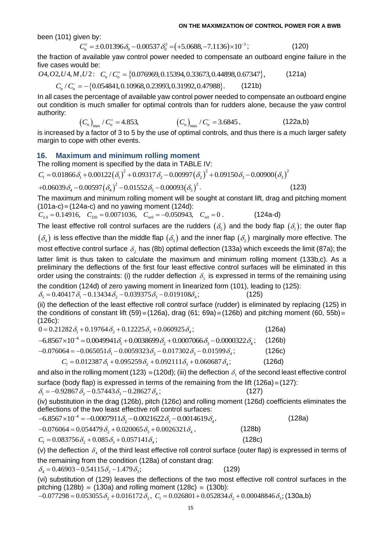been (101) given by:

OR THE MAXIMIZATION OF CONIROL POWER

\nbeen (101) given by:

\n
$$
C_n^+ = \pm 0.01396 \delta_0 - 0.00537 \delta_0^2 = (+5.0688, -7.1136) \times 10^{-3};
$$
\n(120)

the fraction of available yaw control power needed to compensate an outboard engine failure in the five cases would be:<br>*O4,O2,U4,M,U2:*  $C_n/C_n^+ = \{0.076969, 0.15394, 0.33673, 0.44898, 0.67347\}$ , (121a)

five cases would be:  
\n
$$
04, 02, U4, M, U2
$$
:  $C_n / C_n^+ = \{0.076969, 0.15394, 0.33673, 0.44898, 0.67347\}$ , (121a)  
\n $C_n / C_n^- = -\{0.054841, 0.10968, 0.23993, 0.31992, 0.47988\}$ . (121b)

In all cases the percentage of available yaw control power needed to compensate an outboard engine out condition is much smaller for optimal controls than for rudders alone, because the yaw control authority:

$$
(C_n)_{\text{max}} / C_n^+ = 4.853,
$$
  $(C_n)_{\text{max}} / C_n^- = 3.6845,$  (122a,b)

is increased by a factor of 3 to 5 by the use of optimal controls, and thus there is a much larger safety margin to cope with other events.

## **16. Maximum and minimum rolling moment**

The rolling moment is specified by the data in TABLE IV:

**ninimum rolling moment**<br>becified by the data in TABLE IV:<br> $\left( \delta_1 \right)^2 + 0.09317 \delta_2 - 0.00997 \left( \delta_2 \right)^2 + 0.09150 \delta_3 - 0.00900 \left( \delta_3 \right)^2$ 

$$
Maximum and minimum rolling moment
$$
  
The rolling moment is specified by the data in TABLE IV:  

$$
C_1 = 0.01866 \delta_1 + 0.00122(\delta_1)^2 + 0.09317 \delta_2 - 0.00997(\delta_2)^2 + 0.09150 \delta_3 - 0.00900(\delta_3)^2
$$

$$
+0.06039 \delta_4 - 0.00597(\delta_4)^2 - 0.01552 \delta_5 - 0.00093(\delta_5)^2.
$$
 (123)

The maximum and minimum rolling moment will be sought at constant lift, drag and pitching moment (101a-c) = (124a-c) and no yawing moment (124d):<br> $C_{L0} = 0.14916$ ,  $C_{D0} = 0.0071036$ ,  $C_{m0} = -0.050943$ ,  $C_{n0} = 0$ . (124a-(101a-c) (124a-c) and no yawing moment (124d):

 $C_{L0} = 0.14916$ ,  $C_{D0} = 0.0071036$ ,  $C_{m0} = -0.050943$ ,  $C_{n0} = 0$ .

The least effective roll control surfaces are the rudders  $(\delta_{\sf s})$  and the body flap  $(\delta_{\sf i})$ ; the outer flap  $(\delta_4)$  is less effective than the middle flap  $(\delta_3)$  and the inner flap  $(\delta_2)$  marginally more effective. The most effective control surface  $\delta_2$  has (8b) optimal deflection (133a) which exceeds the limit (87a); the latter limit is thus taken to calculate the maximum and minimum rolling moment (133b,c). As a preliminary the deflections of the first four least effective control surfaces will be eliminated in this order using the constraints: (i) the rudder deflection  $\delta_{\mathfrak{s}}$  is expressed in terms of the remaining using

the condition (124d) of zero yawing moment in linearized form (101), leading to (125): braer using the constraints: (i) the rudder deflection  $\delta_5$  is a<br>the condition (124d) of zero yawing moment in linearized fi<br> $\delta_5 = 0.40417 \delta_1 - 0.13434 \delta_2 - 0.039375 \delta_3 - 0.019108 \delta_4$ ;  $\delta_5 = 0.40417 \delta_1 - 0.13434 \delta_2 - 0.039375 \delta_3 - 0.019108 \delta_4;$  (125)

(ii) the deflection of the least effective roll control surface (rudder) is eliminated by replacing (125) in (126c):

| the conditions of constant lift (59) = (126a), drag (61; 69a) = (126b) and pitching moment (60, 55b) =<br>$(126c)$ : |        |
|----------------------------------------------------------------------------------------------------------------------|--------|
| $0 = 0.21282 \delta_1 + 0.19764 \delta_2 + 0.12225 \delta_3 + 0.060925 \delta_4$ ;                                   | (126a) |
| $-6.8567 \times 10^{-4} = 0.0049941 \delta_1 + 0.0038699 \delta_2 + 0.0007066 \delta_3 - 0.0000322 \delta_4$ ;       | (126b) |
| $-0.076064 = -0.065051\delta_1 - 0.0059323\delta_2 - 0.017302\delta_3 - 0.01599\delta_4$ ;                           | (126c) |
| $C_1 = 0.012387 \delta_1 + 0.095259 \delta_2 + 0.092111 \delta_2 + 0.060687 \delta_3$ ;                              | (126d) |
|                                                                                                                      |        |

and also in the rolling moment (123)  $\equiv$  (120d); (iii) the deflection  $\delta_{1}$  of the second least effective control surface (body flap) is expressed in terms of the remaining from the lift (126a) = (127):<br>  $\delta_1 = -0.92867 \delta_2 - 0.57443 \delta_3 - 0.28627 \delta_4;$  (127)

$$
\delta_1 = -0.92867 \delta_2 - 0.57443 \delta_3 - 0.28627 \delta_4;
$$

(iv) substitution in the drag (126b), pitch (126c) and rolling moment (126d) coefficients eliminates the deflections of the two least effective roll control surfaces:<br>-6.8567×10<sup>-4</sup> = -0.0007911 $\delta_2$  -0.0021622 $\delta_3$  -0. deflections of the two least effective roll control surfaces:

 $(127)$ 

|        | (128a) |
|--------|--------|
| (128b) |        |
| (128c) |        |
|        |        |

(v) the deflection  $\delta_4$  of the third least effective roll control surface (outer flap) is expressed in terms of the remaining from the condition (128a) of constant drag:<br> $\delta_4 = 0.46903 - 0.54115 \delta_2 - 1.479 \delta_3;$  (129)

$$
\delta_4 = 0.46903 - 0.54115 \delta_2 - 1.479 \delta_3;
$$

(vi) substitution of (129) leaves the deflections of the two most effective roll control surfaces in the pitching (128b)  $\equiv$  (130a) and rolling moment (128c)  $\equiv$  (130b):  $201$   $\mu$  3  $\mu$  3  $\mu$  3  $\mu$  3  $\mu$  3  $\mu$  3  $\mu$  3  $\mu$  3  $\mu$  3  $\mu$  3  $\mu$  3  $\mu$  3  $\mu$  5  $\mu$  5  $\mu$  5  $\mu$  5  $\mu$  5  $\mu$  5  $\mu$  5  $\mu$  5  $\mu$  5  $\mu$  5  $\mu$  5  $\mu$  5  $\mu$  5  $\mu$  5  $\mu$  5  $\mu$  5  $\mu$  5  $\mu$  5  $\mu$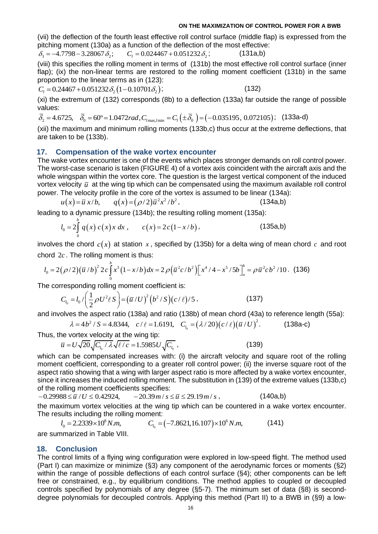; (132)

(vii) the deflection of the fourth least effective roll control surface (middle flap) is expressed from the pitching moment (130a) as a function of the deflection of the most effective: (vii) the deflection of the fourth least effective roll control surfaction of the deflection of the m<br>  $\delta_3 = -4.7798 - 3.28067 \delta_2$ ;  $C_l = 0.024467 + 0.051232 \delta_2$ ;

 $C_i = 0.024467 + 0.051232 \delta_i;$  (131a,b)

(viii) this specifies the rolling moment in terms of (131b) the most effective roll control surface (inner flap); (ix) the non-linear terms are restored to the rolling moment coefficient (131b) in the same proportion to the linear terms as in (123):<br>  $C_l = 0.24467 + 0.051232 \delta_2 (1 - 0.10701 \delta_2)$ ;

$$
C_1 = 0.24467 + 0.051232 \delta_2 (1 - 0.10701 \delta_2);
$$

(xi) the extremum of (132) corresponds (8b) to a deflection (133a) far outside the range of possible values:  $C_l = 0.24467 + 0.051232 \delta_2 (1 - 0.10701 \delta_2);$  (132)<br>
(xi) the extremum of (132) corresponds (8b) to a deflection (133a) far outsid<br>
values:<br>  $\overline{\delta_2} = 4.6725, \quad \overline{\delta_0} = 60^\circ = 1.0472 rad, C_{l_{\text{max,/min}}} = C_l (\pm \overline{\delta_0}) = (-0.035195, 0.$ 

$$
\overline{\delta}_2 = 4.6725, \quad \overline{\delta}_0 = 60^\circ = 1.0472 \text{ rad}, C_{\text{max,/min}} = C_l \left( \pm \overline{\delta}_0 \right) = \left( -0.035195, \, 0.072105 \right); \quad \text{(133a-d)}
$$

(xii) the maximum and minimum rolling moments (133b,c) thus occur at the extreme deflections, that are taken to be (133b).

### **17. Compensation of the wake vortex encounter**

The wake vortex encounter is one of the events which places stronger demands on roll control power. The worst-case scenario is taken (FIGURE 4) of a vortex axis coincident with the aircraft axis and the whole wingspan within the vortex core. The question is the largest vertical component of the induced vortex velocity  $\bar{u}$  at the wing tip which can be compensated using the maximum available roll control power. The velocity profile in the core of the vortex is assumed to be linear (134a):<br>  $u(x) = \overline{u} x/b$ ,  $q(x) = (\rho/2)\overline{u}^2 x^2/b^2$ , (134a,b)

$$
u(x) = \bar{u}x/b, \qquad q(x) = (\rho/2)\bar{u}^2x^2/b^2, \tag{134a,b}
$$

leading to a dynamic pressure (134b); the resulting rolling moment (135a):  
\n
$$
l_0 = 2 \int_0^b q(x) c(x) x \, dx, \qquad c(x) = 2c(1-x/b), \qquad (135a,b)
$$

involves the chord  $c(x)$  at station  $x$ , specified by (135b) for a delta wing of mean chord  $c$  and root chord  $2c$ . The rolling moment is thus:<br>  $l_0 = 2(\rho/2)(\overline{u}/b)^2 2c \int_0^b x^3(1-x/b)dx = 2\rho(\overline{u}^2c/b^2)[x^4/4 - x^5/5b]_o^b =$ chord 2*c* . The rolling moment is thus:

chord 2*c*. The rolling moment is thus:  
\n
$$
l_0 = 2(\rho/2)(\bar{u}/b)^2 2c \int_0^b x^3 (1-x/b) dx = 2\rho (\bar{u}^2 c/b^2) [x^4/4 - x^5/5b]_0^b = \rho \bar{u}^2 cb^2/10. \tag{136}
$$

The corresponding rolling moment coefficient is:  
\n
$$
C_{l_0} = l_0 / \left(\frac{1}{2}\rho U^2 \ell S\right) = \left(\overline{u}/U\right)^2 \left(b^2 / S\right) \left(c / \ell\right) / 5, \tag{137}
$$

and involves the aspect ratio (138a) and ratio (138b) of mean chord (43a) to reference length (55a):  $(a - \frac{1}{2}P\theta \cos \theta) = (a + \theta) (b + \theta)(c + \theta)^{3}$ , (137)<br>
es the aspect ratio (138a) and ratio (138b) of mean chord (43a) to reference le<br>  $\lambda = 4b^{2}/S = 4.8344$ ,  $c/\ell = 1.6191$ ,  $C_{l_{0}} = (\lambda/20)(c/\ell)(\bar{u}/U)^{2}$ . (138a-c)

$$
\lambda = 4b^2 / S = 4.8344
$$
,  $c / \ell = 1.6191$ ,  $C_{l_0} = (\lambda / 20)(c / \ell)(\overline{u} / U)^2$ . (138a-c)

Thus, the vortex velocity at the wing tip:  
\n
$$
\overline{u} = U\sqrt{20}\sqrt{C_{l_0}/\lambda}\sqrt{\ell/c} = 1.5985U\sqrt{C_{l_0}},
$$
\n(139)

which can be compensated increases with: (i) the aircraft velocity and square root of the rolling moment coefficient, corresponding to a greater roll control power; (ii) the inverse square root of the aspect ratio showing that a wing with larger aspect ratio is more affected by a wake vortex encounter, since it increases the induced rolling moment. The substitution in (139) of the extreme values (133b,c) of the rolling moment coefficients specifies:<br>−0.29988 ≤  $\overline{u}$  / U ≤ 0.42924,  $-20.39$  m/s ≤  $\overline{u}$  ≤ 29.19 m/s of the rolling moment coefficients specifies:

the maximum vortex velocities at the wing tip which can be countered in a wake vortex encounter. The results including the rolling moment:

 $l_0 = 2.2339 \times 10^8 N.m.$  $l_0 = 2.2339 \times 10^8 N.m,$   $C_{l_0} = (-7.8621, 16.107)$ 6 nent:<br>*C<sub>I。</sub>* = (−7.8621,16.107)×10<sup>6</sup> N*.m*, (141) are summarized in Table VIII.

### **18. Conclusion**

The control limits of a flying wing configuration were explored in low-speed flight. The method used (Part I) can maximize or minimize (§3) any component of the aerodynamic forces or moments (§2) within the range of possible deflections of each control surface (§4); other components can be left free or constrained, e.g., by equilibrium conditions. The method applies to coupled or decoupled controls specified by polynomials of any degree (§5-7). The minimum set of data (§8) is seconddegree polynomials for decoupled controls. Applying this method (Part II) to a BWB in (§9) a low-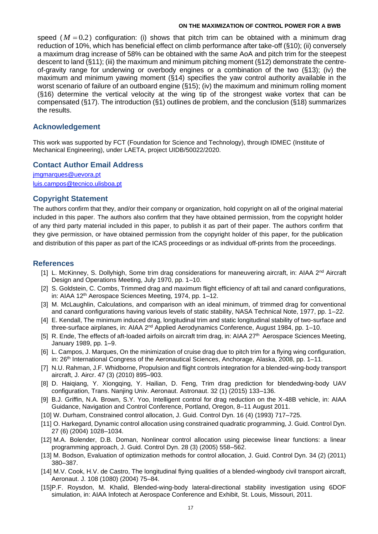speed ( $M = 0.2$ ) configuration: (i) shows that pitch trim can be obtained with a minimum drag reduction of 10%, which has beneficial effect on climb performance after take-off (§10); (ii) conversely a maximum drag increase of 58% can be obtained with the same AoA and pitch trim for the steepest descent to land (§11); (iii) the maximum and minimum pitching moment (§12) demonstrate the centreof-gravity range for underwing or overbody engines or a combination of the two (§13); (iv) the maximum and minimum yawing moment (§14) specifies the yaw control authority available in the worst scenario of failure of an outboard engine (§15); (iv) the maximum and minimum rolling moment (§16) determine the vertical velocity at the wing tip of the strongest wake vortex that can be compensated (§17). The introduction (§1) outlines de problem, and the conclusion (§18) summarizes the results.

## **Acknowledgement**

This work was supported by FCT (Foundation for Science and Technology), through IDMEC (Institute of Mechanical Engineering), under LAETA, project UIDB/50022/2020.

## **Contact Author Email Address**

[jmgmarques@uevora.pt](mailto:jmgmarques@uevora.pt) [luis.campos@tecnico.ulisboa.pt](mailto:luis.campos@tecnico.ulisboa.pt)

### **Copyright Statement**

The authors confirm that they, and/or their company or organization, hold copyright on all of the original material included in this paper. The authors also confirm that they have obtained permission, from the copyright holder of any third party material included in this paper, to publish it as part of their paper. The authors confirm that they give permission, or have obtained permission from the copyright holder of this paper, for the publication and distribution of this paper as part of the ICAS proceedings or as individual off-prints from the proceedings.

### **References**

- [1] L. McKinney, S. Dollyhigh, Some trim drag considerations for maneuvering aircraft, in: AIAA 2<sup>nd</sup> Aircraft Design and Operations Meeting, July 1970, pp. 1–10.
- [2] S. Goldstein, C. Combs, Trimmed drag and maximum flight efficiency of aft tail and canard configurations, in: AIAA 12th Aerospace Sciences Meeting, 1974, pp. 1–12.
- [3] M. McLaughlin, Calculations, and comparison with an ideal minimum, of trimmed drag for conventional and canard configurations having various levels of static stability, NASA Technical Note, 1977, pp. 1–22.
- [4] E. Kendall, The minimum induced drag, longitudinal trim and static longitudinal stability of two-surface and three-surface airplanes, in: AIAA 2<sup>nd</sup> Applied Aerodynamics Conference, August 1984, pp. 1–10.
- [5] R. Ende, The effects of aft-loaded airfoils on aircraft trim drag, in: AIAA 27<sup>th</sup> Aerospace Sciences Meeting, January 1989, pp. 1–9.
- [6] L. Campos, J. Marques, On the minimization of cruise drag due to pitch trim for a flying wing configuration, in: 26<sup>th</sup> International Congress of the Aeronautical Sciences, Anchorage, Alaska, 2008, pp. 1–11.
- [7] N.U. Rahman, J.F. Whidborne, Propulsion and flight controls integration for a blended-wing-body transport aircraft, J. Aircr. 47 (3) (2010) 895–903.
- [8] D. Haiqiang, Y. Xiongqing, Y. Hailian, D. Feng, Trim drag prediction for blendedwing-body UAV configuration, Trans. Nanjing Univ. Aeronaut. Astronaut. 32 (1) (2015) 133–136.
- [9] B.J. Griffin, N.A. Brown, S.Y. Yoo, Intelligent control for drag reduction on the X-48B vehicle, in: AIAA Guidance, Navigation and Control Conference, Portland, Oregon, 8–11 August 2011.
- [10] W. Durham, Constrained control allocation, J. Guid. Control Dyn. 16 (4) (1993) 717–725.
- [11] O. Harkegard, Dynamic control allocation using constrained quadratic programming, J. Guid. Control Dyn. 27 (6) (2004) 1028–1034.
- [12] M.A. Bolender, D.B. Doman, Nonlinear control allocation using piecewise linear functions: a linear programming approach, J. Guid. Control Dyn. 28 (3) (2005) 558–562.
- [13] M. Bodson, Evaluation of optimization methods for control allocation, J. Guid. Control Dyn. 34 (2) (2011) 380–387.
- [14] M.V. Cook, H.V. de Castro, The longitudinal flying qualities of a blended-wingbody civil transport aircraft, Aeronaut. J. 108 (1080) (2004) 75–84.
- [15]P.F. Roysdon, M. Khalid, Blended-wing-body lateral-directional stability investigation using 6DOF simulation, in: AIAA Infotech at Aerospace Conference and Exhibit, St. Louis, Missouri, 2011.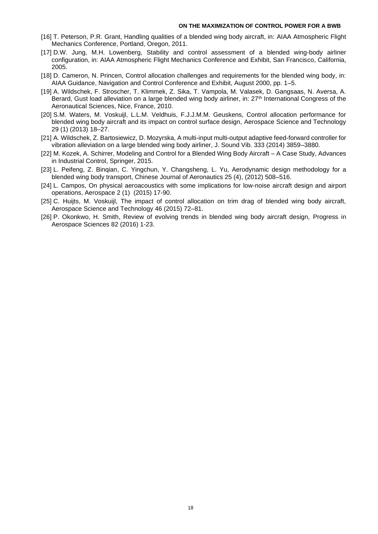- [16] T. Peterson, P.R. Grant, Handling qualities of a blended wing body aircraft, in: AIAA Atmospheric Flight Mechanics Conference, Portland, Oregon, 2011.
- [17] D.W. Jung, M.H. Lowenberg, Stability and control assessment of a blended wing-body airliner configuration, in: AIAA Atmospheric Flight Mechanics Conference and Exhibit, San Francisco, California, 2005.
- [18] D. Cameron, N. Princen, Control allocation challenges and requirements for the blended wing body, in: AIAA Guidance, Navigation and Control Conference and Exhibit, August 2000, pp. 1–5.
- [19] A. Wildschek, F. Stroscher, T. Klimmek, Z. Sika, T. Vampola, M. Valasek, D. Gangsaas, N. Aversa, A. Berard, Gust load alleviation on a large blended wing body airliner, in: 27<sup>th</sup> International Congress of the Aeronautical Sciences, Nice, France, 2010.
- [20] S.M. Waters, M. Voskuijl, L.L.M. Veldhuis, F.J.J.M.M. Geuskens, Control allocation performance for blended wing body aircraft and its impact on control surface design, Aerospace Science and Technology 29 (1) (2013) 18–27.
- [21] A. Wildschek, Z. Bartosiewicz, D. Mozyrska, A multi-input multi-output adaptive feed-forward controller for vibration alleviation on a large blended wing body airliner, J. Sound Vib. 333 (2014) 3859–3880.
- [22] M. Kozek, A. Schirrer, Modeling and Control for a Blended Wing Body Aircraft A Case Study, Advances in Industrial Control, Springer, 2015.
- [23] L. Peifeng, Z. Binqian, C. Yingchun, Y. Changsheng, L. Yu, Aerodynamic design methodology for a blended wing body transport, Chinese Journal of Aeronautics 25 (4), (2012) 508–516.
- [24] L. Campos, On physical aeroacoustics with some implications for low-noise aircraft design and airport operations, Aerospace 2 (1) (2015) 17-90.
- [25] C. Huijts, M. Voskuijl, The impact of control allocation on trim drag of blended wing body aircraft, Aerospace Science and Technology 46 (2015) 72–81.
- [26] P. Okonkwo, H. Smith, Review of evolving trends in blended wing body aircraft design, Progress in Aerospace Sciences 82 (2016) 1-23.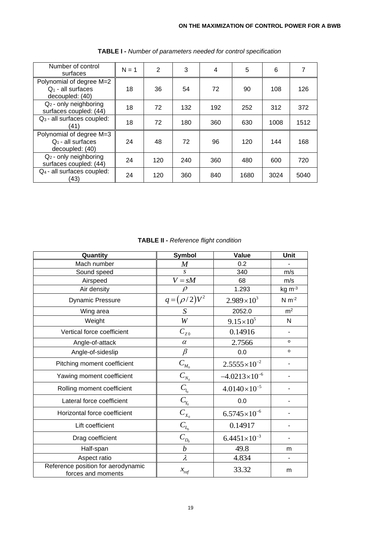| Number of control<br>surfaces                                       | $N = 1$ | 2   | 3   | 4   | 5    | 6    | 7    |
|---------------------------------------------------------------------|---------|-----|-----|-----|------|------|------|
| Polynomial of degree M=2<br>$Q_1$ - all surfaces<br>decoupled: (40) | 18      | 36  | 54  | 72  | 90   | 108  | 126  |
| $Q_2$ - only neighboring<br>surfaces coupled: (44)                  | 18      | 72  | 132 | 192 | 252  | 312  | 372  |
| $Q_3$ - all surfaces coupled:<br>(41)                               | 18      | 72  | 180 | 360 | 630  | 1008 | 1512 |
| Polynomial of degree M=3<br>$Q_1$ - all surfaces<br>decoupled: (40) | 24      | 48  | 72  | 96  | 120  | 144  | 168  |
| $Q_2$ - only neighboring<br>surfaces coupled: (44)                  | 24      | 120 | 240 | 360 | 480  | 600  | 720  |
| Q <sub>4</sub> - all surfaces coupled:<br>(43)                      | 24      | 120 | 360 | 840 | 1680 | 3024 | 5040 |

**TABLE I -** *Number of parameters needed for control specification*

|  |  |  |  | <b>TABLE II - Reference flight condition</b> |  |  |
|--|--|--|--|----------------------------------------------|--|--|
|--|--|--|--|----------------------------------------------|--|--|

| Quantity                                                 | <b>Symbol</b>     | <b>Value</b>           | <b>Unit</b>    |
|----------------------------------------------------------|-------------------|------------------------|----------------|
| Mach number                                              | $\boldsymbol{M}$  | 0.2                    |                |
| Sound speed                                              | $\mathcal{S}$     | 340                    | m/s            |
| Airspeed                                                 | $V = sM$          | 68                     | m/s            |
| Air density                                              | $\rho$            | 1.293                  | $kg \, m-3$    |
| <b>Dynamic Pressure</b>                                  | $q = (\rho/2)V^2$ | $2.989\times10^{3}$    | $N m-2$        |
| Wing area                                                | S                 | 2052.0                 | m <sup>2</sup> |
| Weight                                                   | W                 | $9.15 \times 10^5$     | N              |
| Vertical force coefficient                               | $C_{Z0}$          | 0.14916                |                |
| Angle-of-attack                                          | $\alpha$          | 2.7566                 | $\circ$        |
| Angle-of-sideslip                                        | $\beta$           | 0.0                    | $\circ$        |
| Pitching moment coefficient                              | $C_{M_0}$         | $2.5555\times10^{-2}$  |                |
| Yawing moment coefficient                                | $C_{N_0}$         | $-4.0213\times10^{-6}$ |                |
| Rolling moment coefficient                               | $C_{l_0}$         | $4.0140\times10^{-5}$  |                |
| Lateral force coefficient                                | $C_{Y_0}$         | 0.0                    |                |
| Horizontal force coefficient                             | $C_{X_0}$         | $6.5745\times10^{-6}$  |                |
| Lift coefficient                                         | $C_{L_0}$         | 0.14917                |                |
| Drag coefficient                                         | $C_{D_0}$         | $6.4451\times10^{-3}$  |                |
| Half-span                                                | $\boldsymbol{b}$  | 49.8                   | m              |
| Aspect ratio                                             | $\lambda$         | 4.834                  |                |
| Reference position for aerodynamic<br>forces and moments | $x_{ref}$         | 33.32                  | m              |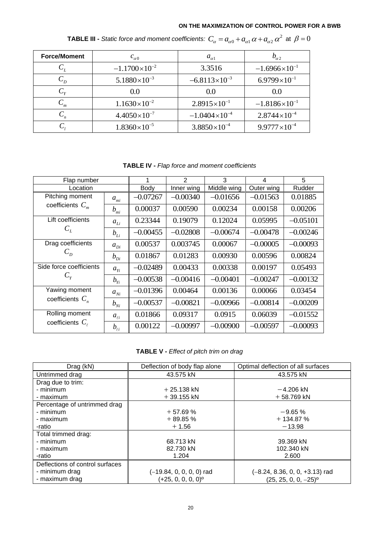| <b>Force/Moment</b> | $c_{\alpha 0}$         | $a_{\alpha 1}$         | $v_{\alpha}$            |
|---------------------|------------------------|------------------------|-------------------------|
| $\cup_L$            | $-1.1700\times10^{-2}$ | 3.3516                 | $-1.6966\times10^{-1}$  |
| $\mathcal{C}_p$     | $5.1880\times10^{-3}$  | $-6.8113\times10^{-3}$ | $6.9799\times10^{-1}$   |
| $C_{Y}$             | 0.0                    | 0.0                    | 0.0                     |
| $C_m$               | $1.1630\times10^{-2}$  | $2.8915\times10^{-1}$  | $-1.8186\times10^{-1}$  |
| $C_n$               | $4.4050\times10^{-7}$  | $-1.0404\times10^{-4}$ | $2.8744\times10^{-4}$   |
|                     | $1.8360\times10^{-5}$  | $3.8850\times10^{-4}$  | $9.9777 \times 10^{-4}$ |

**TABLE III -** *Static force and moment coefficients:*  $C_{\alpha} = a_{\alpha 0} + a_{\alpha 1} \, \alpha + a_{\alpha 2} \, \alpha^2$  *at*  $\beta = 0$ 

**TABLE IV -** *Flap force and moment coefficients*

| Flap number                         |                              | 1          | $\overline{2}$ | 3           | 4          | 5          |
|-------------------------------------|------------------------------|------------|----------------|-------------|------------|------------|
| Location                            |                              | Body       | Inner wing     | Middle wing | Outer wing | Rudder     |
| Pitching moment                     | $a_{mi}$                     | $-0.07267$ | $-0.00340$     | $-0.01656$  | $-0.01563$ | 0.01885    |
| coefficients $C_m$                  | $b_{mi}$                     | 0.00037    | 0.00590        | 0.00234     | 0.00158    | 0.00206    |
| Lift coefficients                   | $a_{Li}$                     | 0.23344    | 0.19079        | 0.12024     | 0.05995    | $-0.05101$ |
| $C_L$                               | $b_{Li}$                     | $-0.00455$ | $-0.02808$     | $-0.00674$  | $-0.00478$ | $-0.00246$ |
| Drag coefficients                   | $a_{Di}$                     | 0.00537    | 0.003745       | 0.00067     | $-0.00005$ | $-0.00093$ |
| $C_{D}$                             | $b_{Di}$                     | 0.01867    | 0.01283        | 0.00930     | 0.00596    | 0.00824    |
| Side force coefficients<br>$C_{Y}$  | $a_{Y_i}$                    | $-0.02489$ | 0.00433        | 0.00338     | 0.00197    | 0.05493    |
|                                     | $b_{ri}$                     | $-0.00538$ | $-0.00416$     | $-0.00401$  | $-0.00247$ | $-0.00132$ |
| Yawing moment<br>coefficients $C_n$ | $a_{Ni}$                     | $-0.01396$ | 0.00464        | 0.00136     | 0.00066    | 0.03454    |
|                                     | $b_{\scriptscriptstyle{Ni}}$ | $-0.00537$ | $-0.00821$     | $-0.00966$  | $-0.00814$ | $-0.00209$ |
| Rolling moment                      | $a_{\ell i}$                 | 0.01866    | 0.09317        | 0.0915      | 0.06039    | $-0.01552$ |
| coefficients $C_{\ell}$             | $b_{\ell i}$                 | 0.00122    | $-0.00997$     | $-0.00900$  | $-0.00597$ | $-0.00093$ |

**TABLE V -** *Effect of pitch trim on drag*

| Drag (kN)                       | Deflection of body flap alone | Optimal deflection of all surfaces |
|---------------------------------|-------------------------------|------------------------------------|
| Untrimmed drag                  | 43.575 kN                     | 43.575 kN                          |
| Drag due to trim:               |                               |                                    |
| - minimum                       | $+25.138$ kN                  | $-4.206$ kN                        |
| - maximum                       | $+39.155$ kN                  | $+58.769$ kN                       |
| Percentage of untrimmed drag    |                               |                                    |
| - minimum                       | $+57.69%$                     | $-9.65%$                           |
| - maximum                       | $+89.85%$                     | $+134.87%$                         |
| -ratio                          | $+1.56$                       | $-13.98$                           |
| Total trimmed drag:             |                               |                                    |
| - minimum                       | 68.713 kN                     | 39.369 kN                          |
| - maximum                       | 82.730 kN                     | 102.340 kN                         |
| -ratio                          | 1.204                         | 2.600                              |
| Deflections of control surfaces |                               |                                    |
| - minimum drag                  | (-19.84, 0, 0, 0, 0) rad      | $(-8.24, 8.36, 0, 0, +3.13)$ rad   |
| - maximum drag                  | $(+25, 0, 0, 0, 0)^{\circ}$   | $(25, 25, 0, 0, -25)^{\circ}$      |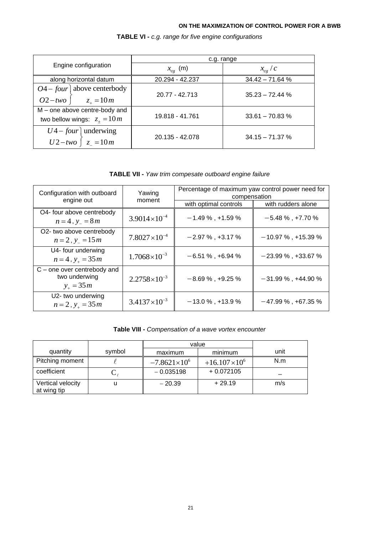|                                                                | c.g. range      |                   |  |
|----------------------------------------------------------------|-----------------|-------------------|--|
| Engine configuration                                           | $x_{cg}$ (m)    | $x_{cg}$ / $c$    |  |
| along horizontal datum                                         | 20.294 - 42.237 | $34.42 - 71.64$ % |  |
| $O4$ – four above centerbody<br>$O2 - two \t z_{+} = 10m$      | 20.77 - 42.713  | $35.23 - 72.44$ % |  |
| M – one above centre-body and<br>two bellow wings: $z_+ = 10m$ | 19.818 - 41.761 | $33.61 - 70.83$ % |  |
| $U4$ – four underwing<br>$U2-two \mid z_{-}=10m$               | 20.135 - 42.078 | $34.15 - 71.37$ % |  |

**TABLE VI -** *c.g. range for five engine configurations*

**TABLE VII -** *Yaw trim compesate outboard engine failure*

| Configuration with outboard                                   | Yawing                | Percentage of maximum yaw control power need for<br>compensation |                        |  |
|---------------------------------------------------------------|-----------------------|------------------------------------------------------------------|------------------------|--|
| engine out                                                    | moment                | with optimal controls                                            | with rudders alone     |  |
| O4- four above centrebody<br>$n = 4$ , $y = 8m$               | $3.9014\times10^{-4}$ | $-1.49\%$ , +1.59 %                                              | $-5.48\%$ , +7.70 $\%$ |  |
| O2- two above centrebody<br>$n = 2$ , $y = 15m$               | $7.8027\times10^{-4}$ | $-2.97\%$ , +3.17 %                                              | $-10.97\%$ , +15.39 %  |  |
| U4- four underwing<br>$n = 4$ , $y_+ = 35m$                   | $1.7068\times10^{-3}$ | $-6.51\%$ , +6.94 %                                              | $-23.99\%$ , +33.67 %  |  |
| $C$ – one over centrebody and<br>two underwing<br>$y_+ = 35m$ | $2.2758\times10^{-3}$ | $-8.69\%$ , +9.25 %                                              | $-31.99\%$ , +44.90 %  |  |
| U2- two underwing<br>$n = 2$ , $y_+ = 35$ m                   | $3.4137\times10^{-3}$ | $-13.0\%$ , +13.9%                                               | $-47.99\%$ , +67.35 %  |  |

## **Table VIII -** *Compensation of a wave vortex encounter*

|                                  |        | value                 |                       |      |
|----------------------------------|--------|-----------------------|-----------------------|------|
| quantity                         | symbol | maximum               | minimum               | unit |
| Pitching moment                  |        | $-7.8621\times10^{6}$ | $+16.107\times10^{6}$ | N.m  |
| coefficient                      | ◡      | $-0.035198$           | $+0.072105$           |      |
| Vertical velocity<br>at wing tip | u      | $-20.39$              | $+29.19$              | m/s  |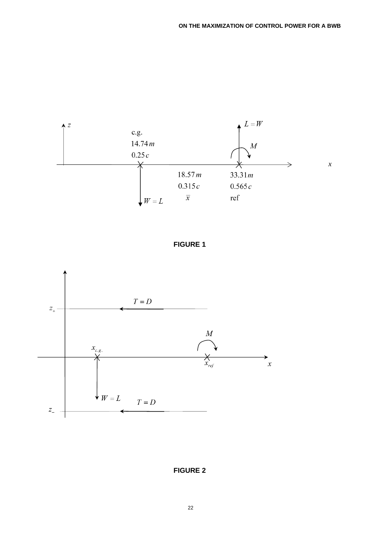

**FIGURE 1**



**FIGURE 2**